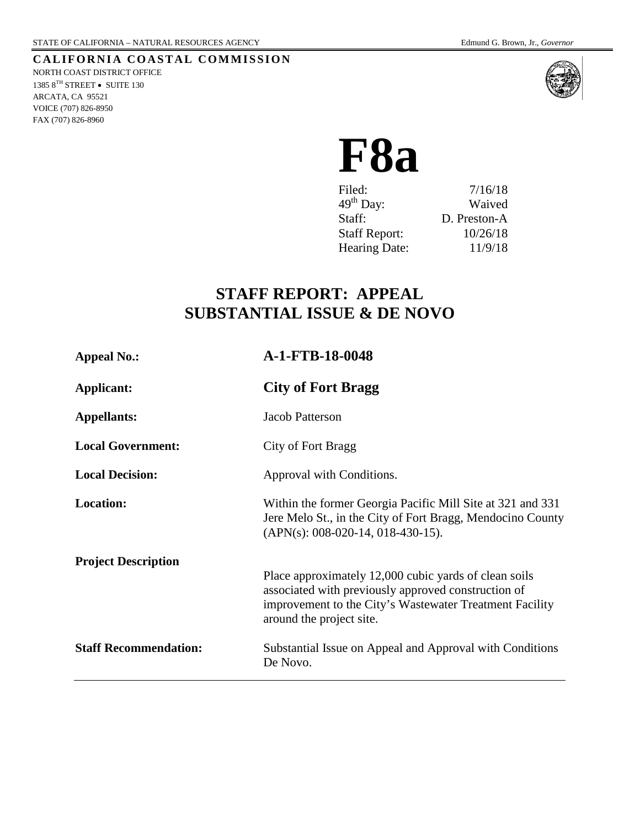#### **CALIFORNIA COASTAL COMMISSION** NORTH COAST DISTRICT OFFICE

1385 $8^{\mathrm{TH}}$  STREET  $\bullet~$  SUITE 130 ARCATA, CA 95521 VOICE (707) 826-8950 FAX (707) 826-8960



# **F8a**

| Filed:                | 7/16/18      |
|-----------------------|--------------|
| $49^{\text{th}}$ Day: | Waived       |
| Staff:                | D. Preston-A |
| <b>Staff Report:</b>  | 10/26/18     |
| <b>Hearing Date:</b>  | 11/9/18      |
|                       |              |

# **STAFF REPORT: APPEAL SUBSTANTIAL ISSUE & DE NOVO**

| <b>Appeal No.:</b>           | A-1-FTB-18-0048                                                                                                                                                                                     |
|------------------------------|-----------------------------------------------------------------------------------------------------------------------------------------------------------------------------------------------------|
| <b>Applicant:</b>            | <b>City of Fort Bragg</b>                                                                                                                                                                           |
| <b>Appellants:</b>           | Jacob Patterson                                                                                                                                                                                     |
| <b>Local Government:</b>     | City of Fort Bragg                                                                                                                                                                                  |
| <b>Local Decision:</b>       | Approval with Conditions.                                                                                                                                                                           |
| <b>Location:</b>             | Within the former Georgia Pacific Mill Site at 321 and 331<br>Jere Melo St., in the City of Fort Bragg, Mendocino County<br>$(APN(s): 008-020-14, 018-430-15).$                                     |
| <b>Project Description</b>   | Place approximately 12,000 cubic yards of clean soils<br>associated with previously approved construction of<br>improvement to the City's Wastewater Treatment Facility<br>around the project site. |
| <b>Staff Recommendation:</b> | Substantial Issue on Appeal and Approval with Conditions<br>De Novo.                                                                                                                                |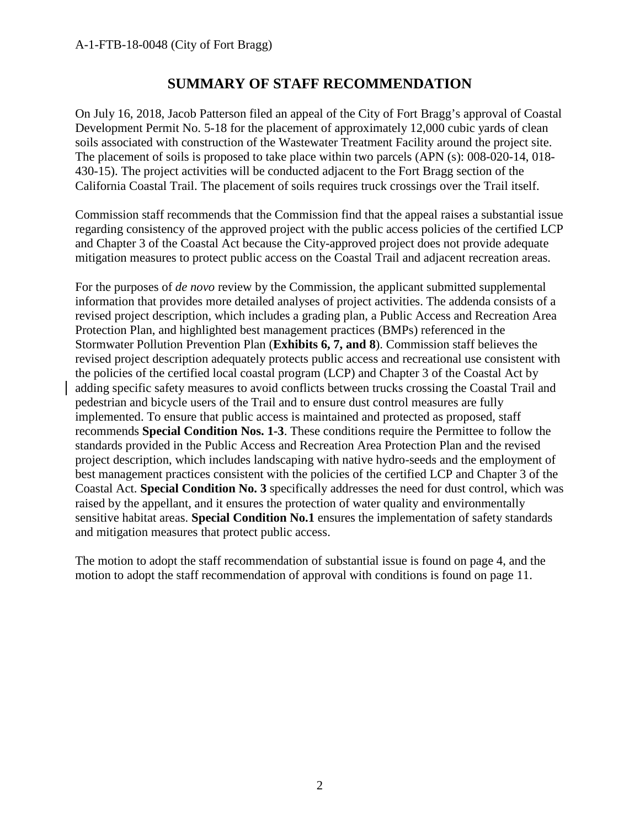# **SUMMARY OF STAFF RECOMMENDATION**

On July 16, 2018, Jacob Patterson filed an appeal of the City of Fort Bragg's approval of Coastal Development Permit No. 5-18 for the placement of approximately 12,000 cubic yards of clean soils associated with construction of the Wastewater Treatment Facility around the project site. The placement of soils is proposed to take place within two parcels (APN (s): 008-020-14, 018- 430-15). The project activities will be conducted adjacent to the Fort Bragg section of the California Coastal Trail. The placement of soils requires truck crossings over the Trail itself.

Commission staff recommends that the Commission find that the appeal raises a substantial issue regarding consistency of the approved project with the public access policies of the certified LCP and Chapter 3 of the Coastal Act because the City-approved project does not provide adequate mitigation measures to protect public access on the Coastal Trail and adjacent recreation areas.

For the purposes of *de novo* review by the Commission, the applicant submitted supplemental information that provides more detailed analyses of project activities. The addenda consists of a revised project description, which includes a grading plan, a Public Access and Recreation Area Protection Plan, and highlighted best management practices (BMPs) referenced in the Stormwater Pollution Prevention Plan (**Exhibits 6, 7, and 8**). Commission staff believes the revised project description adequately protects public access and recreational use consistent with the policies of the certified local coastal program (LCP) and Chapter 3 of the Coastal Act by adding specific safety measures to avoid conflicts between trucks crossing the Coastal Trail and pedestrian and bicycle users of the Trail and to ensure dust control measures are fully implemented. To ensure that public access is maintained and protected as proposed, staff recommends **Special Condition Nos. 1-3**. These conditions require the Permittee to follow the standards provided in the Public Access and Recreation Area Protection Plan and the revised project description, which includes landscaping with native hydro-seeds and the employment of best management practices consistent with the policies of the certified LCP and Chapter 3 of the Coastal Act. **Special Condition No. 3** specifically addresses the need for dust control, which was raised by the appellant, and it ensures the protection of water quality and environmentally sensitive habitat areas. **Special Condition No.1** ensures the implementation of safety standards and mitigation measures that protect public access.

The motion to adopt the staff recommendation of substantial issue is found on page 4, and the motion to adopt the staff recommendation of approval with conditions is found on page 11.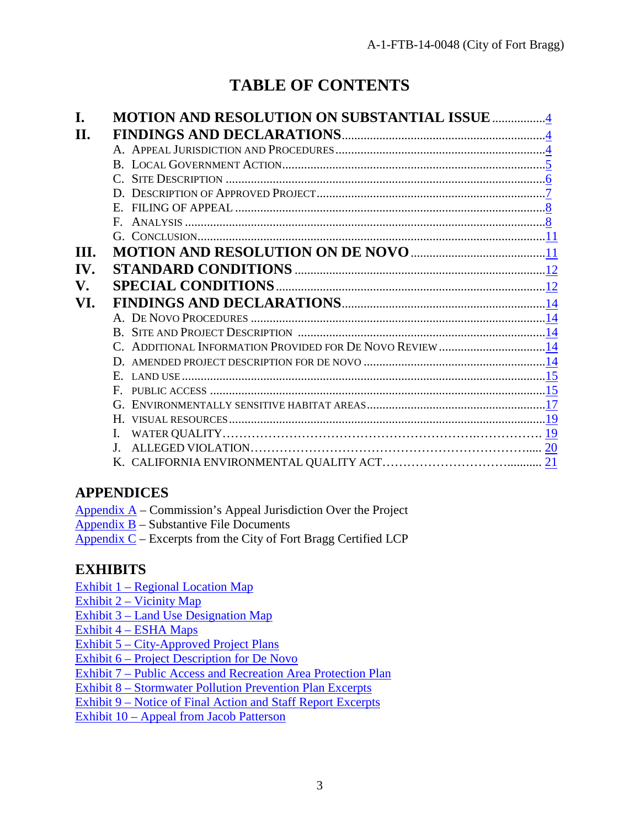# **TABLE OF CONTENTS**

|     | <b>MOTION AND RESOLUTION ON SUBSTANTIAL ISSUE </b>       |
|-----|----------------------------------------------------------|
| Н.  |                                                          |
|     |                                                          |
|     |                                                          |
|     | 6.6                                                      |
|     |                                                          |
|     | $\overline{\mathbf{8}}$                                  |
|     |                                                          |
|     |                                                          |
| HL. |                                                          |
| IV. |                                                          |
| V.  |                                                          |
| VI. |                                                          |
|     |                                                          |
|     |                                                          |
|     | C. ADDITIONAL INFORMATION PROVIDED FOR DE NOVO REVIEW 14 |
|     |                                                          |
|     | E.                                                       |
|     | F.                                                       |
|     |                                                          |
|     |                                                          |
|     |                                                          |
|     | $\mathbf{I}$                                             |
|     |                                                          |
|     |                                                          |

# **APPENDICES**

- [Appendix](#page-21-0) A Commission's Appeal Jurisdiction Over the Project
- [Appendix B](#page-22-0) Substantive File Documents
- Appendix  $C$  Excerpts from the City of Fort Bragg Certified LCP

# **EXHIBITS**

- Exhibit 1 [Regional Location Map](https://documents.coastal.ca.gov/reports/2018/11/f8a/f8a-11-2018-exhibits.pdf)
- Exhibit 2 [Vicinity Map](https://documents.coastal.ca.gov/reports/2018/11/f8a/f8a-11-2018-exhibits.pdf)
- Exhibit 3 [Land Use Designation](https://documents.coastal.ca.gov/reports/2018/11/f8a/f8a-11-2018-exhibits.pdf) Map
- Exhibit 4 [ESHA Maps](https://documents.coastal.ca.gov/reports/2018/11/f8a/f8a-11-2018-exhibits.pdf)
- Exhibit 5 [City-Approved Project Plans](https://documents.coastal.ca.gov/reports/2018/11/f8a/f8a-11-2018-exhibits.pdf)
- Exhibit 6 [Project Description for](https://documents.coastal.ca.gov/reports/2018/11/f8a/f8a-11-2018-exhibits.pdf) De Novo
- Exhibit 7 [Public Access and Recreation Area Protection Plan](https://documents.coastal.ca.gov/reports/2018/11/f8a/f8a-11-2018-exhibits.pdf)
- Exhibit 8 [Stormwater Pollution Prevention Plan Excerpts](https://documents.coastal.ca.gov/reports/2018/11/f8a/f8a-11-2018-exhibits.pdf)
- Exhibit 9 Notice of Final [Action and Staff Report Excerpts](https://documents.coastal.ca.gov/reports/2018/11/f8a/f8a-11-2018-exhibits.pdf)
- Exhibit 10 [Appeal from Jacob Patterson](https://documents.coastal.ca.gov/reports/2018/11/f8a/f8a-11-2018-exhibits.pdf)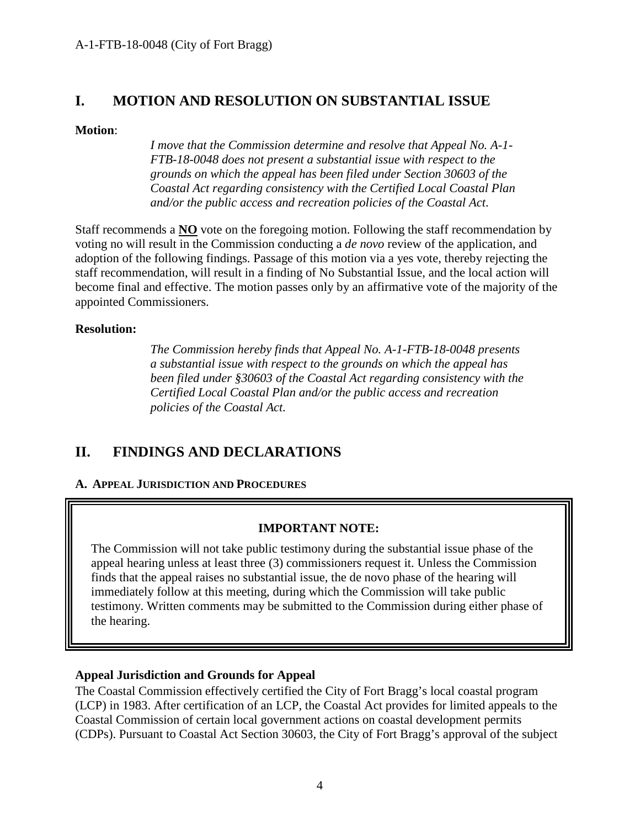## <span id="page-3-0"></span>**I. MOTION AND RESOLUTION ON SUBSTANTIAL ISSUE**

#### **Motion**:

*I move that the Commission determine and resolve that Appeal No. A-1- FTB-18-0048 does not present a substantial issue with respect to the grounds on which the appeal has been filed under Section 30603 of the Coastal Act regarding consistency with the Certified Local Coastal Plan and/or the public access and recreation policies of the Coastal Act*.

Staff recommends a **NO** vote on the foregoing motion. Following the staff recommendation by voting no will result in the Commission conducting a *de novo* review of the application, and adoption of the following findings. Passage of this motion via a yes vote, thereby rejecting the staff recommendation, will result in a finding of No Substantial Issue, and the local action will become final and effective. The motion passes only by an affirmative vote of the majority of the appointed Commissioners.

#### **Resolution:**

*The Commission hereby finds that Appeal No. A-1-FTB-18-0048 presents a substantial issue with respect to the grounds on which the appeal has been filed under §30603 of the Coastal Act regarding consistency with the Certified Local Coastal Plan and/or the public access and recreation policies of the Coastal Act.*

# <span id="page-3-1"></span>**II. FINDINGS AND DECLARATIONS**

#### <span id="page-3-2"></span>**A. APPEAL JURISDICTION AND PROCEDURES**

#### **IMPORTANT NOTE:**

The Commission will not take public testimony during the substantial issue phase of the appeal hearing unless at least three (3) commissioners request it. Unless the Commission finds that the appeal raises no substantial issue, the de novo phase of the hearing will immediately follow at this meeting, during which the Commission will take public testimony. Written comments may be submitted to the Commission during either phase of the hearing.

#### **Appeal Jurisdiction and Grounds for Appeal**

The Coastal Commission effectively certified the City of Fort Bragg's local coastal program (LCP) in 1983. After certification of an LCP, the Coastal Act provides for limited appeals to the Coastal Commission of certain local government actions on coastal development permits (CDPs). Pursuant to Coastal Act Section 30603, the City of Fort Bragg's approval of the subject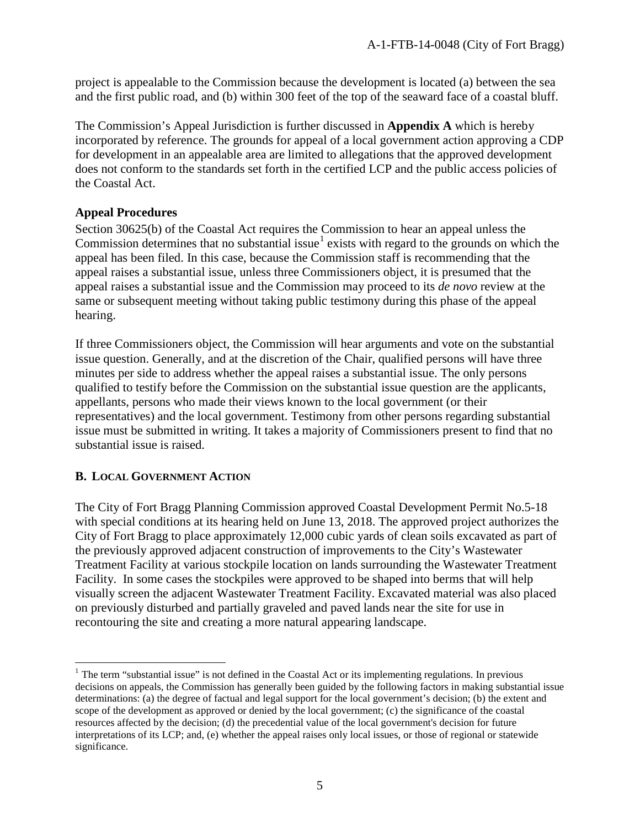project is appealable to the Commission because the development is located (a) between the sea and the first public road, and (b) within 300 feet of the top of the seaward face of a coastal bluff.

The Commission's Appeal Jurisdiction is further discussed in **Appendix A** which is hereby incorporated by reference. The grounds for appeal of a local government action approving a CDP for development in an appealable area are limited to allegations that the approved development does not conform to the standards set forth in the certified LCP and the public access policies of the Coastal Act.

#### **Appeal Procedures**

Section 30625(b) of the Coastal Act requires the Commission to hear an appeal unless the Commission determines that no substantial issue<sup>[1](#page-4-1)</sup> exists with regard to the grounds on which the appeal has been filed. In this case, because the Commission staff is recommending that the appeal raises a substantial issue, unless three Commissioners object, it is presumed that the appeal raises a substantial issue and the Commission may proceed to its *de novo* review at the same or subsequent meeting without taking public testimony during this phase of the appeal hearing.

If three Commissioners object, the Commission will hear arguments and vote on the substantial issue question. Generally, and at the discretion of the Chair, qualified persons will have three minutes per side to address whether the appeal raises a substantial issue. The only persons qualified to testify before the Commission on the substantial issue question are the applicants, appellants, persons who made their views known to the local government (or their representatives) and the local government. Testimony from other persons regarding substantial issue must be submitted in writing. It takes a majority of Commissioners present to find that no substantial issue is raised.

#### <span id="page-4-0"></span>**B. LOCAL GOVERNMENT ACTION**

The City of Fort Bragg Planning Commission approved Coastal Development Permit No.5-18 with special conditions at its hearing held on June 13, 2018. The approved project authorizes the City of Fort Bragg to place approximately 12,000 cubic yards of clean soils excavated as part of the previously approved adjacent construction of improvements to the City's Wastewater Treatment Facility at various stockpile location on lands surrounding the Wastewater Treatment Facility. In some cases the stockpiles were approved to be shaped into berms that will help visually screen the adjacent Wastewater Treatment Facility. Excavated material was also placed on previously disturbed and partially graveled and paved lands near the site for use in recontouring the site and creating a more natural appearing landscape.

<span id="page-4-1"></span> $<sup>1</sup>$  The term "substantial issue" is not defined in the Coastal Act or its implementing regulations. In previous</sup> decisions on appeals, the Commission has generally been guided by the following factors in making substantial issue determinations: (a) the degree of factual and legal support for the local government's decision; (b) the extent and scope of the development as approved or denied by the local government; (c) the significance of the coastal resources affected by the decision; (d) the precedential value of the local government's decision for future interpretations of its LCP; and, (e) whether the appeal raises only local issues, or those of regional or statewide significance.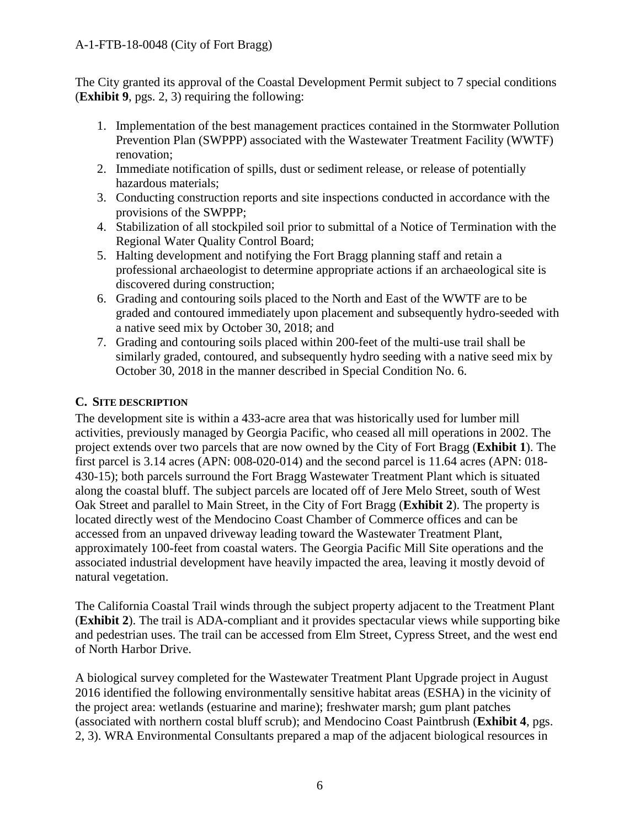#### A-1-FTB-18-0048 (City of Fort Bragg)

The City granted its approval of the Coastal Development Permit subject to 7 special conditions (**Exhibit 9**, pgs. 2, 3) requiring the following:

- 1. Implementation of the best management practices contained in the Stormwater Pollution Prevention Plan (SWPPP) associated with the Wastewater Treatment Facility (WWTF) renovation;
- 2. Immediate notification of spills, dust or sediment release, or release of potentially hazardous materials;
- 3. Conducting construction reports and site inspections conducted in accordance with the provisions of the SWPPP;
- 4. Stabilization of all stockpiled soil prior to submittal of a Notice of Termination with the Regional Water Quality Control Board;
- 5. Halting development and notifying the Fort Bragg planning staff and retain a professional archaeologist to determine appropriate actions if an archaeological site is discovered during construction;
- 6. Grading and contouring soils placed to the North and East of the WWTF are to be graded and contoured immediately upon placement and subsequently hydro-seeded with a native seed mix by October 30, 2018; and
- 7. Grading and contouring soils placed within 200-feet of the multi-use trail shall be similarly graded, contoured, and subsequently hydro seeding with a native seed mix by October 30, 2018 in the manner described in Special Condition No. 6.

#### <span id="page-5-0"></span>**C. SITE DESCRIPTION**

The development site is within a 433-acre area that was historically used for lumber mill activities, previously managed by Georgia Pacific, who ceased all mill operations in 2002. The project extends over two parcels that are now owned by the City of Fort Bragg (**Exhibit 1**). The first parcel is 3.14 acres (APN: 008-020-014) and the second parcel is 11.64 acres (APN: 018- 430-15); both parcels surround the Fort Bragg Wastewater Treatment Plant which is situated along the coastal bluff. The subject parcels are located off of Jere Melo Street, south of West Oak Street and parallel to Main Street, in the City of Fort Bragg (**Exhibit 2**). The property is located directly west of the Mendocino Coast Chamber of Commerce offices and can be accessed from an unpaved driveway leading toward the Wastewater Treatment Plant, approximately 100-feet from coastal waters. The Georgia Pacific Mill Site operations and the associated industrial development have heavily impacted the area, leaving it mostly devoid of natural vegetation.

The California Coastal Trail winds through the subject property adjacent to the Treatment Plant (**Exhibit 2**). The trail is ADA-compliant and it provides spectacular views while supporting bike and pedestrian uses. The trail can be accessed from Elm Street, Cypress Street, and the west end of North Harbor Drive.

A biological survey completed for the Wastewater Treatment Plant Upgrade project in August 2016 identified the following environmentally sensitive habitat areas (ESHA) in the vicinity of the project area: wetlands (estuarine and marine); freshwater marsh; gum plant patches (associated with northern costal bluff scrub); and Mendocino Coast Paintbrush (**Exhibit 4**, pgs. 2, 3). WRA Environmental Consultants prepared a map of the adjacent biological resources in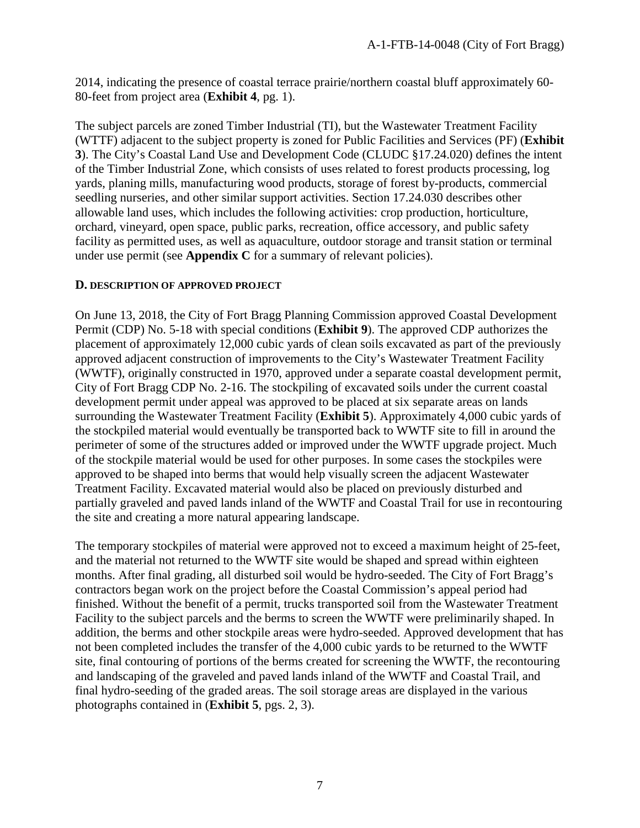2014, indicating the presence of coastal terrace prairie/northern coastal bluff approximately 60- 80-feet from project area (**Exhibit 4**, pg. 1).

The subject parcels are zoned Timber Industrial (TI), but the Wastewater Treatment Facility (WTTF) adjacent to the subject property is zoned for Public Facilities and Services (PF) (**Exhibit 3**). The City's Coastal Land Use and Development Code (CLUDC §17.24.020) defines the intent of the Timber Industrial Zone, which consists of uses related to forest products processing, log yards, planing mills, manufacturing wood products, storage of forest by-products, commercial seedling nurseries, and other similar support activities. Section 17.24.030 describes other allowable land uses, which includes the following activities: crop production, horticulture, orchard, vineyard, open space, public parks, recreation, office accessory, and public safety facility as permitted uses, as well as aquaculture, outdoor storage and transit station or terminal under use permit (see **Appendix C** for a summary of relevant policies).

#### <span id="page-6-0"></span>**D. DESCRIPTION OF APPROVED PROJECT**

On June 13, 2018, the City of Fort Bragg Planning Commission approved Coastal Development Permit (CDP) No. 5-18 with special conditions (**Exhibit 9**). The approved CDP authorizes the placement of approximately 12,000 cubic yards of clean soils excavated as part of the previously approved adjacent construction of improvements to the City's Wastewater Treatment Facility (WWTF), originally constructed in 1970, approved under a separate coastal development permit, City of Fort Bragg CDP No. 2-16. The stockpiling of excavated soils under the current coastal development permit under appeal was approved to be placed at six separate areas on lands surrounding the Wastewater Treatment Facility (**Exhibit 5**). Approximately 4,000 cubic yards of the stockpiled material would eventually be transported back to WWTF site to fill in around the perimeter of some of the structures added or improved under the WWTF upgrade project. Much of the stockpile material would be used for other purposes. In some cases the stockpiles were approved to be shaped into berms that would help visually screen the adjacent Wastewater Treatment Facility. Excavated material would also be placed on previously disturbed and partially graveled and paved lands inland of the WWTF and Coastal Trail for use in recontouring the site and creating a more natural appearing landscape.

The temporary stockpiles of material were approved not to exceed a maximum height of 25-feet, and the material not returned to the WWTF site would be shaped and spread within eighteen months. After final grading, all disturbed soil would be hydro-seeded. The City of Fort Bragg's contractors began work on the project before the Coastal Commission's appeal period had finished. Without the benefit of a permit, trucks transported soil from the Wastewater Treatment Facility to the subject parcels and the berms to screen the WWTF were preliminarily shaped. In addition, the berms and other stockpile areas were hydro-seeded. Approved development that has not been completed includes the transfer of the 4,000 cubic yards to be returned to the WWTF site, final contouring of portions of the berms created for screening the WWTF, the recontouring and landscaping of the graveled and paved lands inland of the WWTF and Coastal Trail, and final hydro-seeding of the graded areas. The soil storage areas are displayed in the various photographs contained in (**Exhibit 5**, pgs. 2, 3).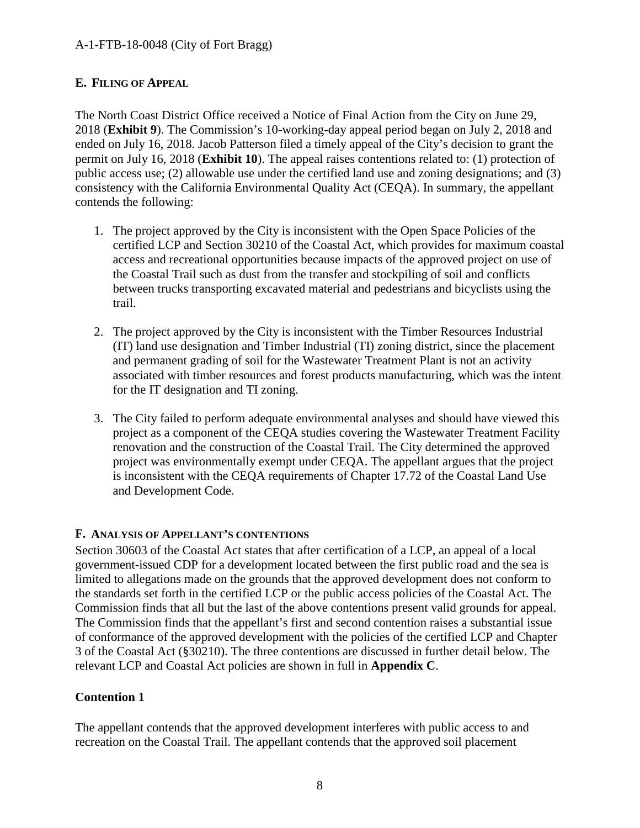#### A-1-FTB-18-0048 (City of Fort Bragg)

#### <span id="page-7-0"></span>**E. FILING OF APPEAL**

The North Coast District Office received a Notice of Final Action from the City on June 29, 2018 (**Exhibit 9**). The Commission's 10-working-day appeal period began on July 2, 2018 and ended on July 16, 2018. Jacob Patterson filed a timely appeal of the City's decision to grant the permit on July 16, 2018 (**Exhibit 10**). The appeal raises contentions related to: (1) protection of public access use; (2) allowable use under the certified land use and zoning designations; and (3) consistency with the California Environmental Quality Act (CEQA). In summary, the appellant contends the following:

- 1. The project approved by the City is inconsistent with the Open Space Policies of the certified LCP and Section 30210 of the Coastal Act, which provides for maximum coastal access and recreational opportunities because impacts of the approved project on use of the Coastal Trail such as dust from the transfer and stockpiling of soil and conflicts between trucks transporting excavated material and pedestrians and bicyclists using the trail.
- 2. The project approved by the City is inconsistent with the Timber Resources Industrial (IT) land use designation and Timber Industrial (TI) zoning district, since the placement and permanent grading of soil for the Wastewater Treatment Plant is not an activity associated with timber resources and forest products manufacturing, which was the intent for the IT designation and TI zoning.
- 3. The City failed to perform adequate environmental analyses and should have viewed this project as a component of the CEQA studies covering the Wastewater Treatment Facility renovation and the construction of the Coastal Trail. The City determined the approved project was environmentally exempt under CEQA. The appellant argues that the project is inconsistent with the CEQA requirements of Chapter 17.72 of the Coastal Land Use and Development Code.

#### <span id="page-7-1"></span>**F. ANALYSIS OF APPELLANT'S CONTENTIONS**

Section 30603 of the Coastal Act states that after certification of a LCP, an appeal of a local government-issued CDP for a development located between the first public road and the sea is limited to allegations made on the grounds that the approved development does not conform to the standards set forth in the certified LCP or the public access policies of the Coastal Act. The Commission finds that all but the last of the above contentions present valid grounds for appeal. The Commission finds that the appellant's first and second contention raises a substantial issue of conformance of the approved development with the policies of the certified LCP and Chapter 3 of the Coastal Act (§30210). The three contentions are discussed in further detail below. The relevant LCP and Coastal Act policies are shown in full in **Appendix C**.

#### **Contention 1**

The appellant contends that the approved development interferes with public access to and recreation on the Coastal Trail. The appellant contends that the approved soil placement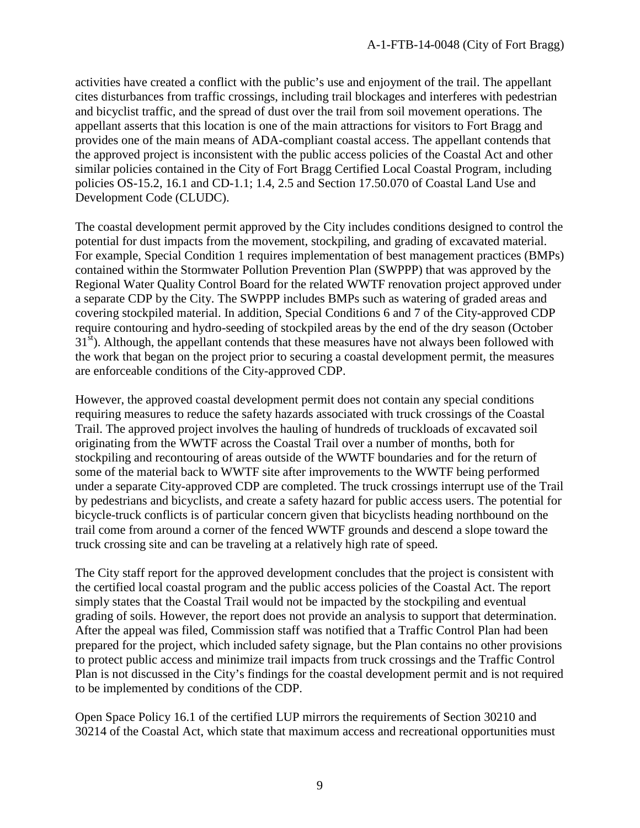activities have created a conflict with the public's use and enjoyment of the trail. The appellant cites disturbances from traffic crossings, including trail blockages and interferes with pedestrian and bicyclist traffic, and the spread of dust over the trail from soil movement operations. The appellant asserts that this location is one of the main attractions for visitors to Fort Bragg and provides one of the main means of ADA-compliant coastal access. The appellant contends that the approved project is inconsistent with the public access policies of the Coastal Act and other similar policies contained in the City of Fort Bragg Certified Local Coastal Program, including policies OS-15.2, 16.1 and CD-1.1; 1.4, 2.5 and Section 17.50.070 of Coastal Land Use and Development Code (CLUDC).

The coastal development permit approved by the City includes conditions designed to control the potential for dust impacts from the movement, stockpiling, and grading of excavated material. For example, Special Condition 1 requires implementation of best management practices (BMPs) contained within the Stormwater Pollution Prevention Plan (SWPPP) that was approved by the Regional Water Quality Control Board for the related WWTF renovation project approved under a separate CDP by the City. The SWPPP includes BMPs such as watering of graded areas and covering stockpiled material. In addition, Special Conditions 6 and 7 of the City-approved CDP require contouring and hydro-seeding of stockpiled areas by the end of the dry season (October  $31<sup>st</sup>$ ). Although, the appellant contends that these measures have not always been followed with the work that began on the project prior to securing a coastal development permit, the measures are enforceable conditions of the City-approved CDP.

However, the approved coastal development permit does not contain any special conditions requiring measures to reduce the safety hazards associated with truck crossings of the Coastal Trail. The approved project involves the hauling of hundreds of truckloads of excavated soil originating from the WWTF across the Coastal Trail over a number of months, both for stockpiling and recontouring of areas outside of the WWTF boundaries and for the return of some of the material back to WWTF site after improvements to the WWTF being performed under a separate City-approved CDP are completed. The truck crossings interrupt use of the Trail by pedestrians and bicyclists, and create a safety hazard for public access users. The potential for bicycle-truck conflicts is of particular concern given that bicyclists heading northbound on the trail come from around a corner of the fenced WWTF grounds and descend a slope toward the truck crossing site and can be traveling at a relatively high rate of speed.

The City staff report for the approved development concludes that the project is consistent with the certified local coastal program and the public access policies of the Coastal Act. The report simply states that the Coastal Trail would not be impacted by the stockpiling and eventual grading of soils. However, the report does not provide an analysis to support that determination. After the appeal was filed, Commission staff was notified that a Traffic Control Plan had been prepared for the project, which included safety signage, but the Plan contains no other provisions to protect public access and minimize trail impacts from truck crossings and the Traffic Control Plan is not discussed in the City's findings for the coastal development permit and is not required to be implemented by conditions of the CDP.

Open Space Policy 16.1 of the certified LUP mirrors the requirements of Section 30210 and 30214 of the Coastal Act, which state that maximum access and recreational opportunities must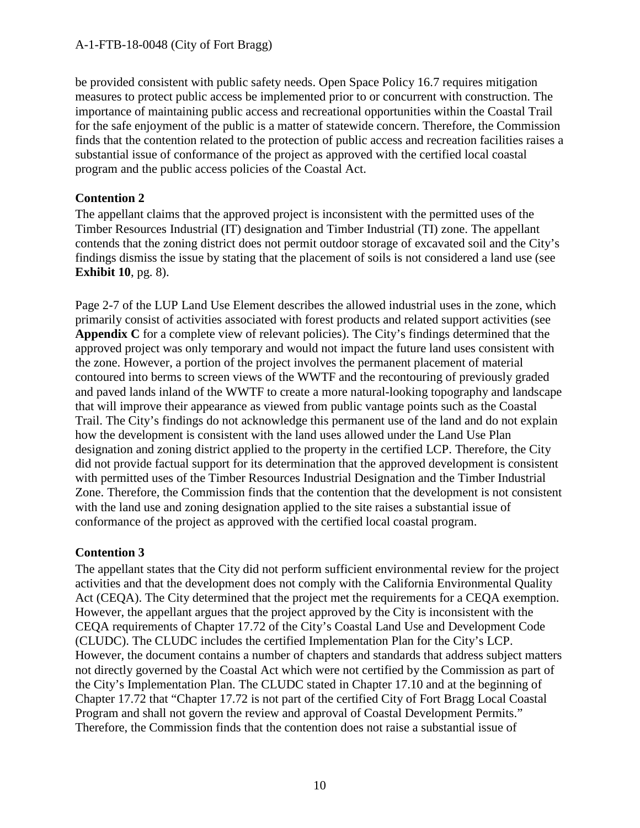#### A-1-FTB-18-0048 (City of Fort Bragg)

be provided consistent with public safety needs. Open Space Policy 16.7 requires mitigation measures to protect public access be implemented prior to or concurrent with construction. The importance of maintaining public access and recreational opportunities within the Coastal Trail for the safe enjoyment of the public is a matter of statewide concern. Therefore, the Commission finds that the contention related to the protection of public access and recreation facilities raises a substantial issue of conformance of the project as approved with the certified local coastal program and the public access policies of the Coastal Act.

#### **Contention 2**

The appellant claims that the approved project is inconsistent with the permitted uses of the Timber Resources Industrial (IT) designation and Timber Industrial (TI) zone. The appellant contends that the zoning district does not permit outdoor storage of excavated soil and the City's findings dismiss the issue by stating that the placement of soils is not considered a land use (see **Exhibit 10**, pg. 8).

Page 2-7 of the LUP Land Use Element describes the allowed industrial uses in the zone, which primarily consist of activities associated with forest products and related support activities (see **Appendix C** for a complete view of relevant policies). The City's findings determined that the approved project was only temporary and would not impact the future land uses consistent with the zone. However, a portion of the project involves the permanent placement of material contoured into berms to screen views of the WWTF and the recontouring of previously graded and paved lands inland of the WWTF to create a more natural-looking topography and landscape that will improve their appearance as viewed from public vantage points such as the Coastal Trail. The City's findings do not acknowledge this permanent use of the land and do not explain how the development is consistent with the land uses allowed under the Land Use Plan designation and zoning district applied to the property in the certified LCP. Therefore, the City did not provide factual support for its determination that the approved development is consistent with permitted uses of the Timber Resources Industrial Designation and the Timber Industrial Zone. Therefore, the Commission finds that the contention that the development is not consistent with the land use and zoning designation applied to the site raises a substantial issue of conformance of the project as approved with the certified local coastal program.

#### **Contention 3**

The appellant states that the City did not perform sufficient environmental review for the project activities and that the development does not comply with the California Environmental Quality Act (CEQA). The City determined that the project met the requirements for a CEQA exemption. However, the appellant argues that the project approved by the City is inconsistent with the CEQA requirements of Chapter 17.72 of the City's Coastal Land Use and Development Code (CLUDC). The CLUDC includes the certified Implementation Plan for the City's LCP. However, the document contains a number of chapters and standards that address subject matters not directly governed by the Coastal Act which were not certified by the Commission as part of the City's Implementation Plan. The CLUDC stated in Chapter 17.10 and at the beginning of Chapter 17.72 that "Chapter 17.72 is not part of the certified City of Fort Bragg Local Coastal Program and shall not govern the review and approval of Coastal Development Permits." Therefore, the Commission finds that the contention does not raise a substantial issue of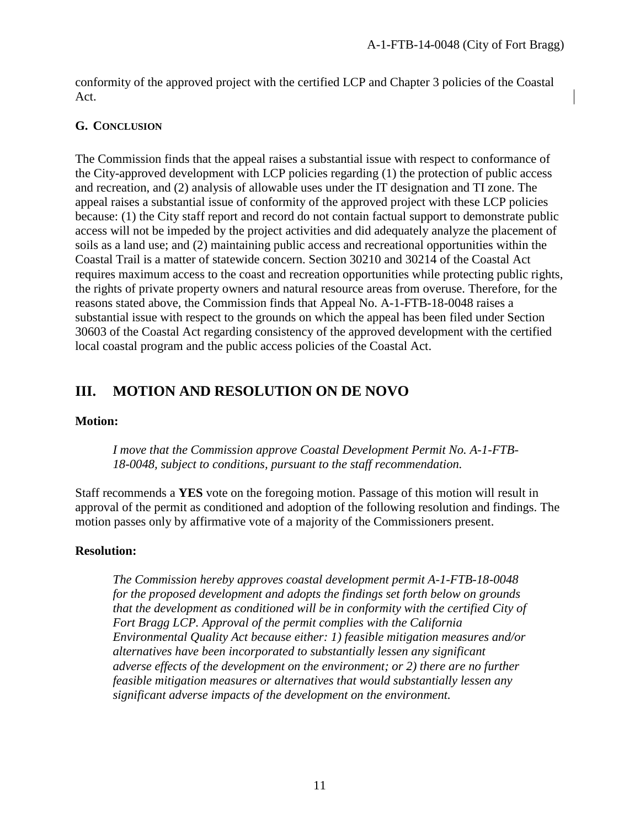conformity of the approved project with the certified LCP and Chapter 3 policies of the Coastal Act.

#### <span id="page-10-0"></span>**G. CONCLUSION**

The Commission finds that the appeal raises a substantial issue with respect to conformance of the City-approved development with LCP policies regarding (1) the protection of public access and recreation, and (2) analysis of allowable uses under the IT designation and TI zone. The appeal raises a substantial issue of conformity of the approved project with these LCP policies because: (1) the City staff report and record do not contain factual support to demonstrate public access will not be impeded by the project activities and did adequately analyze the placement of soils as a land use; and (2) maintaining public access and recreational opportunities within the Coastal Trail is a matter of statewide concern. Section 30210 and 30214 of the Coastal Act requires maximum access to the coast and recreation opportunities while protecting public rights, the rights of private property owners and natural resource areas from overuse. Therefore, for the reasons stated above, the Commission finds that Appeal No. A-1-FTB-18-0048 raises a substantial issue with respect to the grounds on which the appeal has been filed under Section 30603 of the Coastal Act regarding consistency of the approved development with the certified local coastal program and the public access policies of the Coastal Act.

# <span id="page-10-1"></span>**III. MOTION AND RESOLUTION ON DE NOVO**

#### **Motion:**

*I move that the Commission approve Coastal Development Permit No. A-1-FTB-18-0048, subject to conditions, pursuant to the staff recommendation.*

Staff recommends a **YES** vote on the foregoing motion. Passage of this motion will result in approval of the permit as conditioned and adoption of the following resolution and findings. The motion passes only by affirmative vote of a majority of the Commissioners present.

#### **Resolution:**

*The Commission hereby approves coastal development permit A-1-FTB-18-0048 for the proposed development and adopts the findings set forth below on grounds that the development as conditioned will be in conformity with the certified City of Fort Bragg LCP. Approval of the permit complies with the California Environmental Quality Act because either: 1) feasible mitigation measures and/or alternatives have been incorporated to substantially lessen any significant adverse effects of the development on the environment; or 2) there are no further feasible mitigation measures or alternatives that would substantially lessen any significant adverse impacts of the development on the environment.*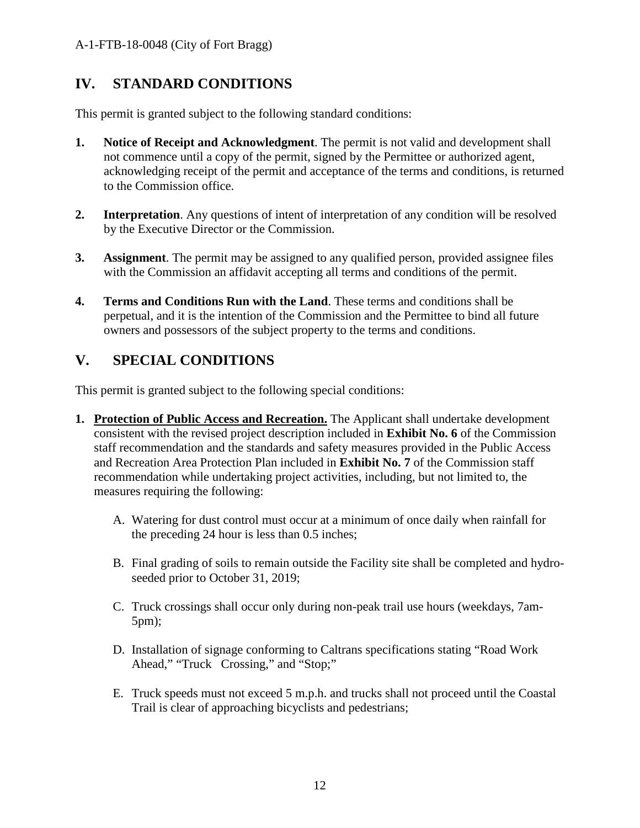# <span id="page-11-0"></span>**IV. STANDARD CONDITIONS**

This permit is granted subject to the following standard conditions:

- **1. Notice of Receipt and Acknowledgment**. The permit is not valid and development shall not commence until a copy of the permit, signed by the Permittee or authorized agent, acknowledging receipt of the permit and acceptance of the terms and conditions, is returned to the Commission office.
- **2. Interpretation**. Any questions of intent of interpretation of any condition will be resolved by the Executive Director or the Commission.
- **3. Assignment**. The permit may be assigned to any qualified person, provided assignee files with the Commission an affidavit accepting all terms and conditions of the permit.
- **4. Terms and Conditions Run with the Land**. These terms and conditions shall be perpetual, and it is the intention of the Commission and the Permittee to bind all future owners and possessors of the subject property to the terms and conditions.

# <span id="page-11-1"></span>**V. SPECIAL CONDITIONS**

This permit is granted subject to the following special conditions:

- **1. Protection of Public Access and Recreation.** The Applicant shall undertake development consistent with the revised project description included in **Exhibit No. 6** of the Commission staff recommendation and the standards and safety measures provided in the Public Access and Recreation Area Protection Plan included in **Exhibit No. 7** of the Commission staff recommendation while undertaking project activities, including, but not limited to, the measures requiring the following:
	- A. Watering for dust control must occur at a minimum of once daily when rainfall for the preceding 24 hour is less than 0.5 inches;
	- B. Final grading of soils to remain outside the Facility site shall be completed and hydroseeded prior to October 31, 2019;
	- C. Truck crossings shall occur only during non-peak trail use hours (weekdays, 7am-5pm);
	- D. Installation of signage conforming to Caltrans specifications stating "Road Work Ahead," "Truck Crossing," and "Stop;"
	- E. Truck speeds must not exceed 5 m.p.h. and trucks shall not proceed until the Coastal Trail is clear of approaching bicyclists and pedestrians;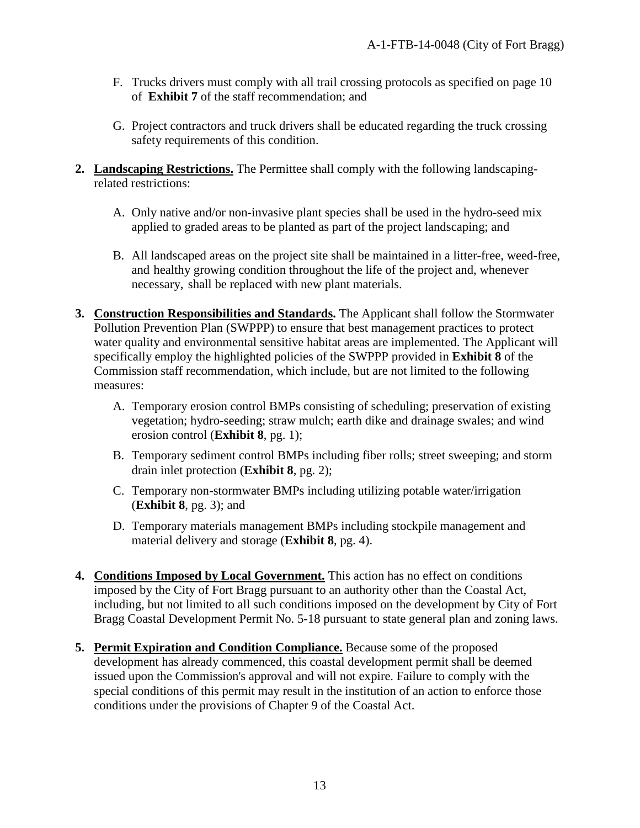- F. Trucks drivers must comply with all trail crossing protocols as specified on page 10 of **Exhibit 7** of the staff recommendation; and
- G. Project contractors and truck drivers shall be educated regarding the truck crossing safety requirements of this condition.
- **2. Landscaping Restrictions.** The Permittee shall comply with the following landscapingrelated restrictions:
	- A. Only native and/or non-invasive plant species shall be used in the hydro-seed mix applied to graded areas to be planted as part of the project landscaping; and
	- B. All landscaped areas on the project site shall be maintained in a litter-free, weed-free, and healthy growing condition throughout the life of the project and, whenever necessary, shall be replaced with new plant materials.
- **3. Construction Responsibilities and Standards.** The Applicant shall follow the Stormwater Pollution Prevention Plan (SWPPP) to ensure that best management practices to protect water quality and environmental sensitive habitat areas are implemented. The Applicant will specifically employ the highlighted policies of the SWPPP provided in **Exhibit 8** of the Commission staff recommendation, which include, but are not limited to the following measures:
	- A. Temporary erosion control BMPs consisting of scheduling; preservation of existing vegetation; hydro-seeding; straw mulch; earth dike and drainage swales; and wind erosion control (**Exhibit 8**, pg. 1);
	- B. Temporary sediment control BMPs including fiber rolls; street sweeping; and storm drain inlet protection (**Exhibit 8**, pg. 2);
	- C. Temporary non-stormwater BMPs including utilizing potable water/irrigation (**Exhibit 8**, pg. 3); and
	- D. Temporary materials management BMPs including stockpile management and material delivery and storage (**Exhibit 8**, pg. 4).
- **4. Conditions Imposed by Local Government.** This action has no effect on conditions imposed by the City of Fort Bragg pursuant to an authority other than the Coastal Act, including, but not limited to all such conditions imposed on the development by City of Fort Bragg Coastal Development Permit No. 5-18 pursuant to state general plan and zoning laws.
- **5. Permit Expiration and Condition Compliance.** Because some of the proposed development has already commenced, this coastal development permit shall be deemed issued upon the Commission's approval and will not expire. Failure to comply with the special conditions of this permit may result in the institution of an action to enforce those conditions under the provisions of Chapter 9 of the Coastal Act.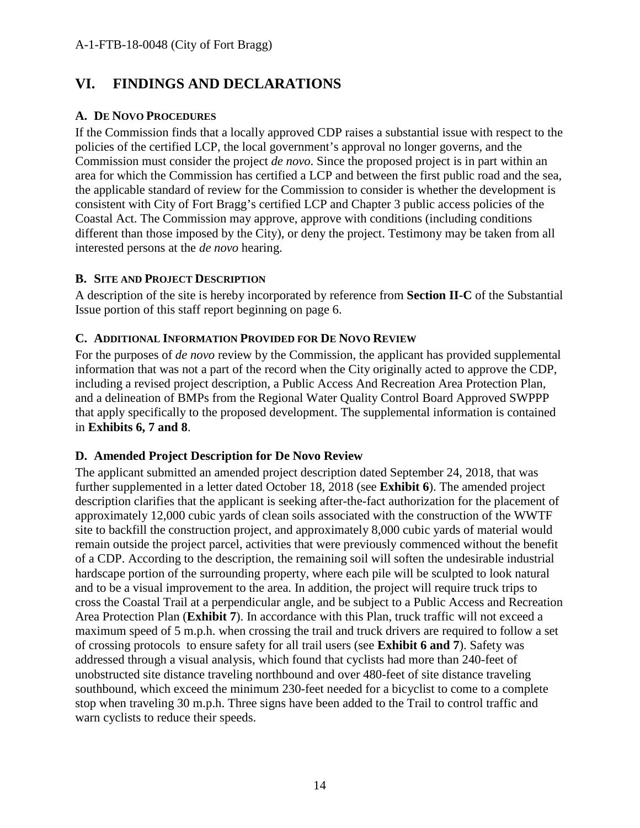# <span id="page-13-0"></span>**VI. FINDINGS AND DECLARATIONS**

#### <span id="page-13-1"></span>**A. DE NOVO PROCEDURES**

If the Commission finds that a locally approved CDP raises a substantial issue with respect to the policies of the certified LCP, the local government's approval no longer governs, and the Commission must consider the project *de novo*. Since the proposed project is in part within an area for which the Commission has certified a LCP and between the first public road and the sea, the applicable standard of review for the Commission to consider is whether the development is consistent with City of Fort Bragg's certified LCP and Chapter 3 public access policies of the Coastal Act. The Commission may approve, approve with conditions (including conditions different than those imposed by the City), or deny the project. Testimony may be taken from all interested persons at the *de novo* hearing.

#### <span id="page-13-2"></span>**B. SITE AND PROJECT DESCRIPTION**

A description of the site is hereby incorporated by reference from **Section II-C** of the Substantial Issue portion of this staff report beginning on page 6.

#### <span id="page-13-3"></span>**C. ADDITIONAL INFORMATION PROVIDED FOR DE NOVO REVIEW**

For the purposes of *de novo* review by the Commission, the applicant has provided supplemental information that was not a part of the record when the City originally acted to approve the CDP, including a revised project description, a Public Access And Recreation Area Protection Plan, and a delineation of BMPs from the Regional Water Quality Control Board Approved SWPPP that apply specifically to the proposed development. The supplemental information is contained in **Exhibits 6, 7 and 8**.

#### <span id="page-13-4"></span>**D. Amended Project Description for De Novo Review**

The applicant submitted an amended project description dated September 24, 2018, that was further supplemented in a letter dated October 18, 2018 (see **Exhibit 6**). The amended project description clarifies that the applicant is seeking after-the-fact authorization for the placement of approximately 12,000 cubic yards of clean soils associated with the construction of the WWTF site to backfill the construction project, and approximately 8,000 cubic yards of material would remain outside the project parcel, activities that were previously commenced without the benefit of a CDP. According to the description, the remaining soil will soften the undesirable industrial hardscape portion of the surrounding property, where each pile will be sculpted to look natural and to be a visual improvement to the area. In addition, the project will require truck trips to cross the Coastal Trail at a perpendicular angle, and be subject to a Public Access and Recreation Area Protection Plan (**Exhibit 7**). In accordance with this Plan, truck traffic will not exceed a maximum speed of 5 m.p.h. when crossing the trail and truck drivers are required to follow a set of crossing protocols to ensure safety for all trail users (see **Exhibit 6 and 7**). Safety was addressed through a visual analysis, which found that cyclists had more than 240-feet of unobstructed site distance traveling northbound and over 480-feet of site distance traveling southbound, which exceed the minimum 230-feet needed for a bicyclist to come to a complete stop when traveling 30 m.p.h. Three signs have been added to the Trail to control traffic and warn cyclists to reduce their speeds.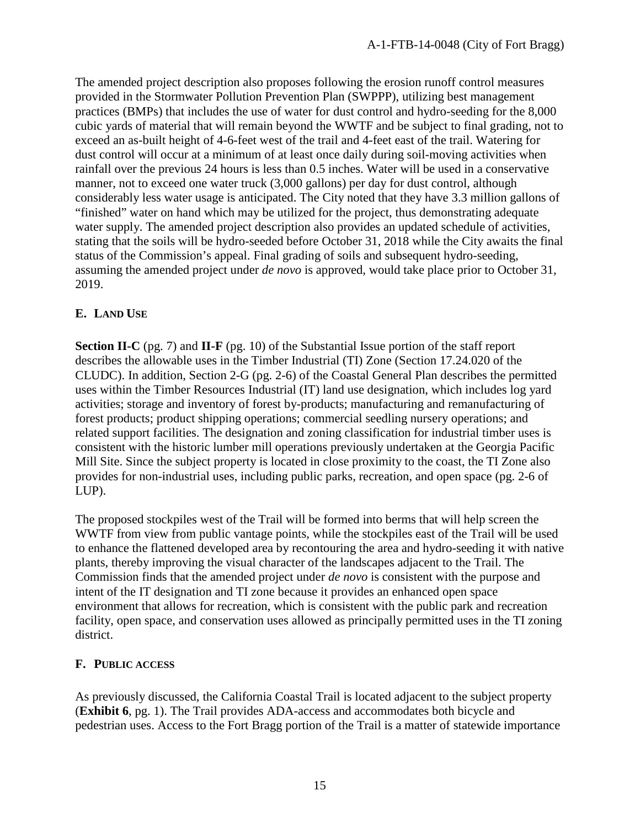The amended project description also proposes following the erosion runoff control measures provided in the Stormwater Pollution Prevention Plan (SWPPP), utilizing best management practices (BMPs) that includes the use of water for dust control and hydro-seeding for the 8,000 cubic yards of material that will remain beyond the WWTF and be subject to final grading, not to exceed an as-built height of 4-6-feet west of the trail and 4-feet east of the trail. Watering for dust control will occur at a minimum of at least once daily during soil-moving activities when rainfall over the previous 24 hours is less than 0.5 inches. Water will be used in a conservative manner, not to exceed one water truck (3,000 gallons) per day for dust control, although considerably less water usage is anticipated. The City noted that they have 3.3 million gallons of "finished" water on hand which may be utilized for the project, thus demonstrating adequate water supply. The amended project description also provides an updated schedule of activities, stating that the soils will be hydro-seeded before October 31, 2018 while the City awaits the final status of the Commission's appeal. Final grading of soils and subsequent hydro-seeding, assuming the amended project under *de novo* is approved, would take place prior to October 31, 2019.

#### <span id="page-14-0"></span>**E. LAND USE**

**Section II-C** (pg. 7) and **II-F** (pg. 10) of the Substantial Issue portion of the staff report describes the allowable uses in the Timber Industrial (TI) Zone (Section 17.24.020 of the CLUDC). In addition, Section 2-G (pg. 2-6) of the Coastal General Plan describes the permitted uses within the Timber Resources Industrial (IT) land use designation, which includes log yard activities; storage and inventory of forest by-products; manufacturing and remanufacturing of forest products; product shipping operations; commercial seedling nursery operations; and related support facilities. The designation and zoning classification for industrial timber uses is consistent with the historic lumber mill operations previously undertaken at the Georgia Pacific Mill Site. Since the subject property is located in close proximity to the coast, the TI Zone also provides for non-industrial uses, including public parks, recreation, and open space (pg. 2-6 of LUP).

The proposed stockpiles west of the Trail will be formed into berms that will help screen the WWTF from view from public vantage points, while the stockpiles east of the Trail will be used to enhance the flattened developed area by recontouring the area and hydro-seeding it with native plants, thereby improving the visual character of the landscapes adjacent to the Trail. The Commission finds that the amended project under *de novo* is consistent with the purpose and intent of the IT designation and TI zone because it provides an enhanced open space environment that allows for recreation, which is consistent with the public park and recreation facility, open space, and conservation uses allowed as principally permitted uses in the TI zoning district.

#### <span id="page-14-1"></span>**F. PUBLIC ACCESS**

As previously discussed, the California Coastal Trail is located adjacent to the subject property (**Exhibit 6**, pg. 1). The Trail provides ADA-access and accommodates both bicycle and pedestrian uses. Access to the Fort Bragg portion of the Trail is a matter of statewide importance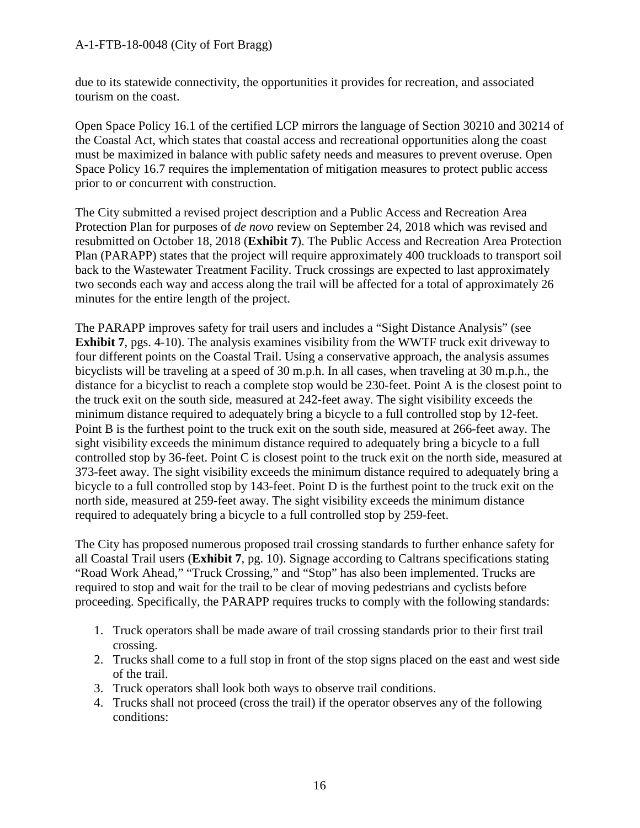#### A-1-FTB-18-0048 (City of Fort Bragg)

due to its statewide connectivity, the opportunities it provides for recreation, and associated tourism on the coast.

Open Space Policy 16.1 of the certified LCP mirrors the language of Section 30210 and 30214 of the Coastal Act, which states that coastal access and recreational opportunities along the coast must be maximized in balance with public safety needs and measures to prevent overuse. Open Space Policy 16.7 requires the implementation of mitigation measures to protect public access prior to or concurrent with construction.

The City submitted a revised project description and a Public Access and Recreation Area Protection Plan for purposes of *de novo* review on September 24, 2018 which was revised and resubmitted on October 18, 2018 (**Exhibit 7**). The Public Access and Recreation Area Protection Plan (PARAPP) states that the project will require approximately 400 truckloads to transport soil back to the Wastewater Treatment Facility. Truck crossings are expected to last approximately two seconds each way and access along the trail will be affected for a total of approximately 26 minutes for the entire length of the project.

The PARAPP improves safety for trail users and includes a "Sight Distance Analysis" (see **Exhibit 7**, pgs. 4-10). The analysis examines visibility from the WWTF truck exit driveway to four different points on the Coastal Trail. Using a conservative approach, the analysis assumes bicyclists will be traveling at a speed of 30 m.p.h. In all cases, when traveling at 30 m.p.h., the distance for a bicyclist to reach a complete stop would be 230-feet. Point A is the closest point to the truck exit on the south side, measured at 242-feet away. The sight visibility exceeds the minimum distance required to adequately bring a bicycle to a full controlled stop by 12-feet. Point B is the furthest point to the truck exit on the south side, measured at 266-feet away. The sight visibility exceeds the minimum distance required to adequately bring a bicycle to a full controlled stop by 36-feet. Point C is closest point to the truck exit on the north side, measured at 373-feet away. The sight visibility exceeds the minimum distance required to adequately bring a bicycle to a full controlled stop by 143-feet. Point D is the furthest point to the truck exit on the north side, measured at 259-feet away. The sight visibility exceeds the minimum distance required to adequately bring a bicycle to a full controlled stop by 259-feet.

The City has proposed numerous proposed trail crossing standards to further enhance safety for all Coastal Trail users (**Exhibit 7**, pg. 10). Signage according to Caltrans specifications stating "Road Work Ahead," "Truck Crossing," and "Stop" has also been implemented. Trucks are required to stop and wait for the trail to be clear of moving pedestrians and cyclists before proceeding. Specifically, the PARAPP requires trucks to comply with the following standards:

- 1. Truck operators shall be made aware of trail crossing standards prior to their first trail crossing.
- 2. Trucks shall come to a full stop in front of the stop signs placed on the east and west side of the trail.
- 3. Truck operators shall look both ways to observe trail conditions.
- 4. Trucks shall not proceed (cross the trail) if the operator observes any of the following conditions: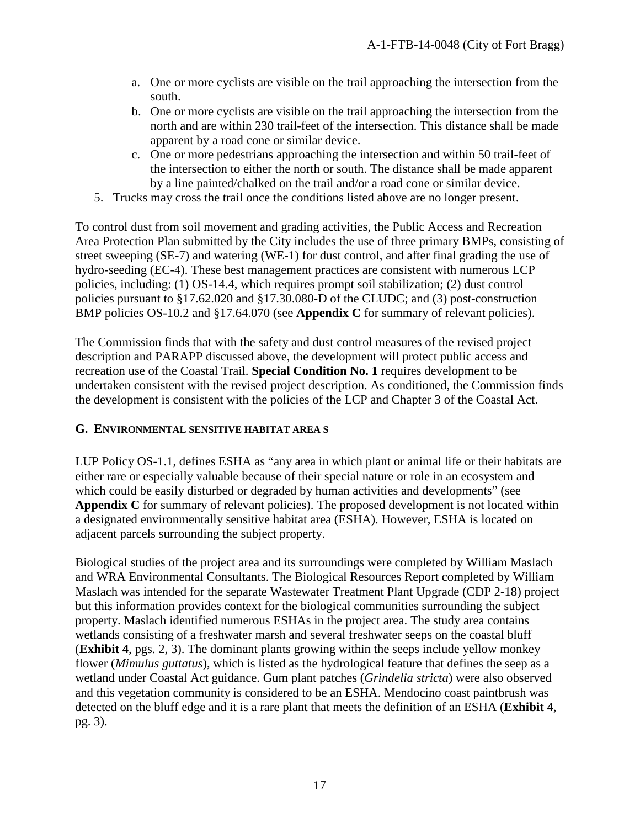- a. One or more cyclists are visible on the trail approaching the intersection from the south.
- b. One or more cyclists are visible on the trail approaching the intersection from the north and are within 230 trail-feet of the intersection. This distance shall be made apparent by a road cone or similar device.
- c. One or more pedestrians approaching the intersection and within 50 trail-feet of the intersection to either the north or south. The distance shall be made apparent by a line painted/chalked on the trail and/or a road cone or similar device.
- 5. Trucks may cross the trail once the conditions listed above are no longer present.

To control dust from soil movement and grading activities, the Public Access and Recreation Area Protection Plan submitted by the City includes the use of three primary BMPs, consisting of street sweeping (SE-7) and watering (WE-1) for dust control, and after final grading the use of hydro-seeding (EC-4). These best management practices are consistent with numerous LCP policies, including: (1) OS-14.4, which requires prompt soil stabilization; (2) dust control policies pursuant to §17.62.020 and §17.30.080-D of the CLUDC; and (3) post-construction BMP policies OS-10.2 and §17.64.070 (see **Appendix C** for summary of relevant policies).

The Commission finds that with the safety and dust control measures of the revised project description and PARAPP discussed above, the development will protect public access and recreation use of the Coastal Trail. **Special Condition No. 1** requires development to be undertaken consistent with the revised project description. As conditioned, the Commission finds the development is consistent with the policies of the LCP and Chapter 3 of the Coastal Act.

#### <span id="page-16-0"></span>**G. ENVIRONMENTAL SENSITIVE HABITAT AREA S**

LUP Policy OS-1.1, defines ESHA as "any area in which plant or animal life or their habitats are either rare or especially valuable because of their special nature or role in an ecosystem and which could be easily disturbed or degraded by human activities and developments" (see **Appendix C** for summary of relevant policies). The proposed development is not located within a designated environmentally sensitive habitat area (ESHA). However, ESHA is located on adjacent parcels surrounding the subject property.

Biological studies of the project area and its surroundings were completed by William Maslach and WRA Environmental Consultants. The Biological Resources Report completed by William Maslach was intended for the separate Wastewater Treatment Plant Upgrade (CDP 2-18) project but this information provides context for the biological communities surrounding the subject property. Maslach identified numerous ESHAs in the project area. The study area contains wetlands consisting of a freshwater marsh and several freshwater seeps on the coastal bluff (**Exhibit 4**, pgs. 2, 3). The dominant plants growing within the seeps include yellow monkey flower (*Mimulus guttatus*), which is listed as the hydrological feature that defines the seep as a wetland under Coastal Act guidance. Gum plant patches (*Grindelia stricta*) were also observed and this vegetation community is considered to be an ESHA. Mendocino coast paintbrush was detected on the bluff edge and it is a rare plant that meets the definition of an ESHA (**Exhibit 4**, pg. 3).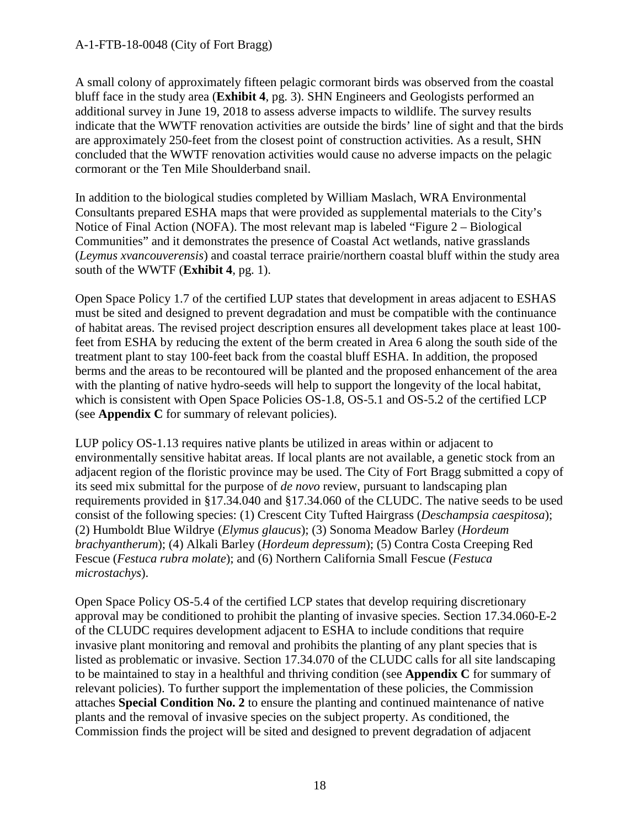#### A-1-FTB-18-0048 (City of Fort Bragg)

A small colony of approximately fifteen pelagic cormorant birds was observed from the coastal bluff face in the study area (**Exhibit 4**, pg. 3). SHN Engineers and Geologists performed an additional survey in June 19, 2018 to assess adverse impacts to wildlife. The survey results indicate that the WWTF renovation activities are outside the birds' line of sight and that the birds are approximately 250-feet from the closest point of construction activities. As a result, SHN concluded that the WWTF renovation activities would cause no adverse impacts on the pelagic cormorant or the Ten Mile Shoulderband snail.

In addition to the biological studies completed by William Maslach, WRA Environmental Consultants prepared ESHA maps that were provided as supplemental materials to the City's Notice of Final Action (NOFA). The most relevant map is labeled "Figure 2 – Biological Communities" and it demonstrates the presence of Coastal Act wetlands, native grasslands (*Leymus xvancouverensis*) and coastal terrace prairie/northern coastal bluff within the study area south of the WWTF (**Exhibit 4**, pg. 1).

Open Space Policy 1.7 of the certified LUP states that development in areas adjacent to ESHAS must be sited and designed to prevent degradation and must be compatible with the continuance of habitat areas. The revised project description ensures all development takes place at least 100 feet from ESHA by reducing the extent of the berm created in Area 6 along the south side of the treatment plant to stay 100-feet back from the coastal bluff ESHA. In addition, the proposed berms and the areas to be recontoured will be planted and the proposed enhancement of the area with the planting of native hydro-seeds will help to support the longevity of the local habitat, which is consistent with Open Space Policies OS-1.8, OS-5.1 and OS-5.2 of the certified LCP (see **Appendix C** for summary of relevant policies).

LUP policy OS-1.13 requires native plants be utilized in areas within or adjacent to environmentally sensitive habitat areas. If local plants are not available, a genetic stock from an adjacent region of the floristic province may be used. The City of Fort Bragg submitted a copy of its seed mix submittal for the purpose of *de novo* review, pursuant to landscaping plan requirements provided in §17.34.040 and §17.34.060 of the CLUDC. The native seeds to be used consist of the following species: (1) Crescent City Tufted Hairgrass (*Deschampsia caespitosa*); (2) Humboldt Blue Wildrye (*Elymus glaucus*); (3) Sonoma Meadow Barley (*Hordeum brachyantherum*); (4) Alkali Barley (*Hordeum depressum*); (5) Contra Costa Creeping Red Fescue (*Festuca rubra molate*); and (6) Northern California Small Fescue (*Festuca microstachys*).

Open Space Policy OS-5.4 of the certified LCP states that develop requiring discretionary approval may be conditioned to prohibit the planting of invasive species. Section 17.34.060-E-2 of the CLUDC requires development adjacent to ESHA to include conditions that require invasive plant monitoring and removal and prohibits the planting of any plant species that is listed as problematic or invasive. Section 17.34.070 of the CLUDC calls for all site landscaping to be maintained to stay in a healthful and thriving condition (see **Appendix C** for summary of relevant policies). To further support the implementation of these policies, the Commission attaches **Special Condition No. 2** to ensure the planting and continued maintenance of native plants and the removal of invasive species on the subject property. As conditioned, the Commission finds the project will be sited and designed to prevent degradation of adjacent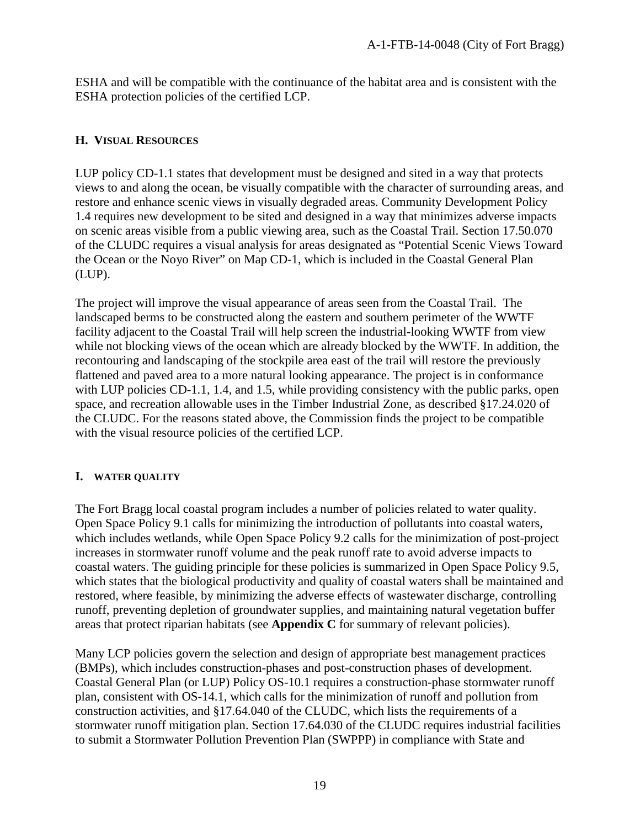ESHA and will be compatible with the continuance of the habitat area and is consistent with the ESHA protection policies of the certified LCP.

#### <span id="page-18-0"></span>**H. VISUAL RESOURCES**

LUP policy CD-1.1 states that development must be designed and sited in a way that protects views to and along the ocean, be visually compatible with the character of surrounding areas, and restore and enhance scenic views in visually degraded areas. Community Development Policy 1.4 requires new development to be sited and designed in a way that minimizes adverse impacts on scenic areas visible from a public viewing area, such as the Coastal Trail. Section 17.50.070 of the CLUDC requires a visual analysis for areas designated as "Potential Scenic Views Toward the Ocean or the Noyo River" on Map CD-1, which is included in the Coastal General Plan (LUP).

The project will improve the visual appearance of areas seen from the Coastal Trail. The landscaped berms to be constructed along the eastern and southern perimeter of the WWTF facility adjacent to the Coastal Trail will help screen the industrial-looking WWTF from view while not blocking views of the ocean which are already blocked by the WWTF. In addition, the recontouring and landscaping of the stockpile area east of the trail will restore the previously flattened and paved area to a more natural looking appearance. The project is in conformance with LUP policies CD-1.1, 1.4, and 1.5, while providing consistency with the public parks, open space, and recreation allowable uses in the Timber Industrial Zone, as described §17.24.020 of the CLUDC. For the reasons stated above, the Commission finds the project to be compatible with the visual resource policies of the certified LCP.

#### <span id="page-18-1"></span>**I. WATER QUALITY**

The Fort Bragg local coastal program includes a number of policies related to water quality. Open Space Policy 9.1 calls for minimizing the introduction of pollutants into coastal waters, which includes wetlands, while Open Space Policy 9.2 calls for the minimization of post-project increases in stormwater runoff volume and the peak runoff rate to avoid adverse impacts to coastal waters. The guiding principle for these policies is summarized in Open Space Policy 9.5, which states that the biological productivity and quality of coastal waters shall be maintained and restored, where feasible, by minimizing the adverse effects of wastewater discharge, controlling runoff, preventing depletion of groundwater supplies, and maintaining natural vegetation buffer areas that protect riparian habitats (see **Appendix C** for summary of relevant policies).

Many LCP policies govern the selection and design of appropriate best management practices (BMPs), which includes construction-phases and post-construction phases of development. Coastal General Plan (or LUP) Policy OS-10.1 requires a construction-phase stormwater runoff plan, consistent with OS-14.1, which calls for the minimization of runoff and pollution from construction activities, and §17.64.040 of the CLUDC, which lists the requirements of a stormwater runoff mitigation plan. Section 17.64.030 of the CLUDC requires industrial facilities to submit a Stormwater Pollution Prevention Plan (SWPPP) in compliance with State and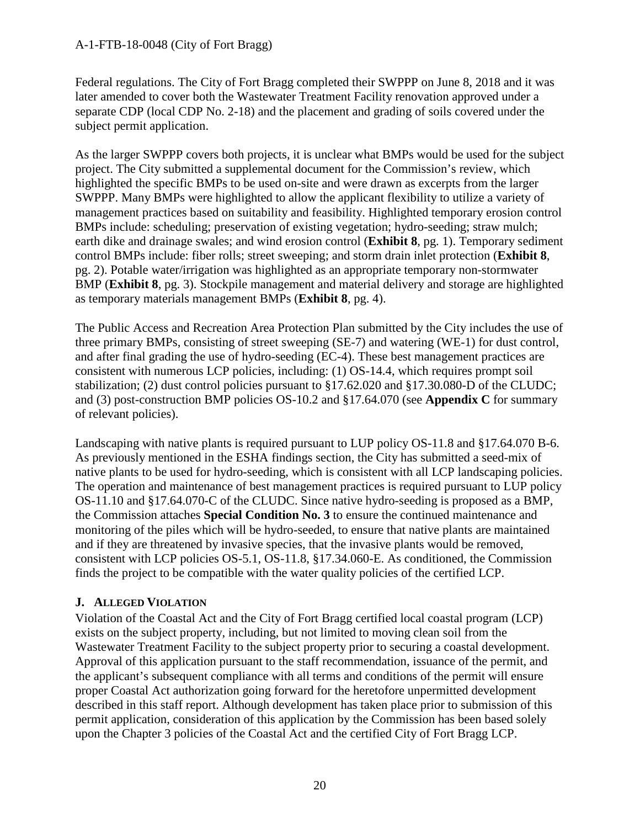#### A-1-FTB-18-0048 (City of Fort Bragg)

Federal regulations. The City of Fort Bragg completed their SWPPP on June 8, 2018 and it was later amended to cover both the Wastewater Treatment Facility renovation approved under a separate CDP (local CDP No. 2-18) and the placement and grading of soils covered under the subject permit application.

As the larger SWPPP covers both projects, it is unclear what BMPs would be used for the subject project. The City submitted a supplemental document for the Commission's review, which highlighted the specific BMPs to be used on-site and were drawn as excerpts from the larger SWPPP. Many BMPs were highlighted to allow the applicant flexibility to utilize a variety of management practices based on suitability and feasibility. Highlighted temporary erosion control BMPs include: scheduling; preservation of existing vegetation; hydro-seeding; straw mulch; earth dike and drainage swales; and wind erosion control (**Exhibit 8**, pg. 1). Temporary sediment control BMPs include: fiber rolls; street sweeping; and storm drain inlet protection (**Exhibit 8**, pg. 2). Potable water/irrigation was highlighted as an appropriate temporary non-stormwater BMP (**Exhibit 8**, pg. 3). Stockpile management and material delivery and storage are highlighted as temporary materials management BMPs (**Exhibit 8**, pg. 4).

The Public Access and Recreation Area Protection Plan submitted by the City includes the use of three primary BMPs, consisting of street sweeping (SE-7) and watering (WE-1) for dust control, and after final grading the use of hydro-seeding (EC-4). These best management practices are consistent with numerous LCP policies, including: (1) OS-14.4, which requires prompt soil stabilization; (2) dust control policies pursuant to §17.62.020 and §17.30.080-D of the CLUDC; and (3) post-construction BMP policies OS-10.2 and §17.64.070 (see **Appendix C** for summary of relevant policies).

Landscaping with native plants is required pursuant to LUP policy OS-11.8 and §17.64.070 B-6. As previously mentioned in the ESHA findings section, the City has submitted a seed-mix of native plants to be used for hydro-seeding, which is consistent with all LCP landscaping policies. The operation and maintenance of best management practices is required pursuant to LUP policy OS-11.10 and §17.64.070-C of the CLUDC. Since native hydro-seeding is proposed as a BMP, the Commission attaches **Special Condition No. 3** to ensure the continued maintenance and monitoring of the piles which will be hydro-seeded, to ensure that native plants are maintained and if they are threatened by invasive species, that the invasive plants would be removed, consistent with LCP policies OS-5.1, OS-11.8, §17.34.060-E. As conditioned, the Commission finds the project to be compatible with the water quality policies of the certified LCP.

#### <span id="page-19-0"></span>**J. ALLEGED VIOLATION**

Violation of the Coastal Act and the City of Fort Bragg certified local coastal program (LCP) exists on the subject property, including, but not limited to moving clean soil from the Wastewater Treatment Facility to the subject property prior to securing a coastal development. Approval of this application pursuant to the staff recommendation, issuance of the permit, and the applicant's subsequent compliance with all terms and conditions of the permit will ensure proper Coastal Act authorization going forward for the heretofore unpermitted development described in this staff report. Although development has taken place prior to submission of this permit application, consideration of this application by the Commission has been based solely upon the Chapter 3 policies of the Coastal Act and the certified City of Fort Bragg LCP.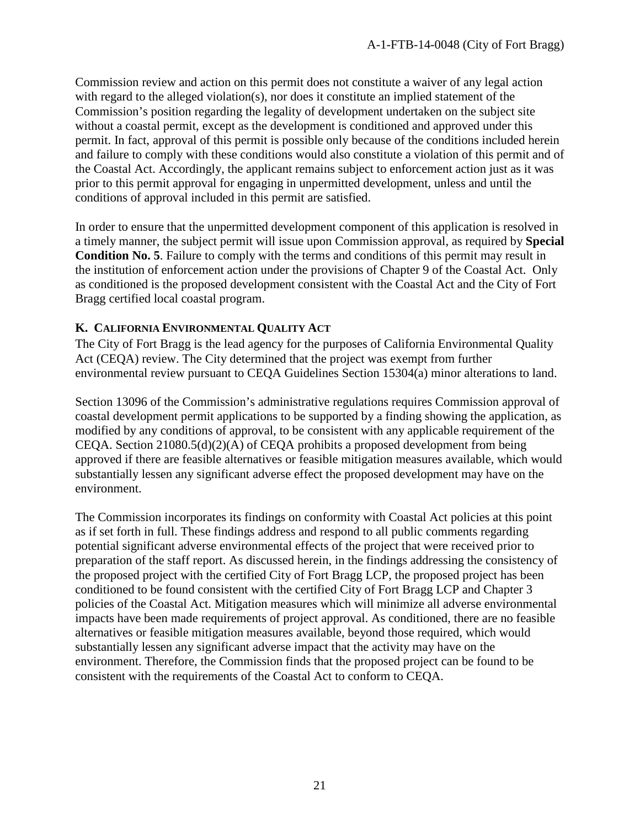Commission review and action on this permit does not constitute a waiver of any legal action with regard to the alleged violation(s), nor does it constitute an implied statement of the Commission's position regarding the legality of development undertaken on the subject site without a coastal permit, except as the development is conditioned and approved under this permit. In fact, approval of this permit is possible only because of the conditions included herein and failure to comply with these conditions would also constitute a violation of this permit and of the Coastal Act. Accordingly, the applicant remains subject to enforcement action just as it was prior to this permit approval for engaging in unpermitted development, unless and until the conditions of approval included in this permit are satisfied.

In order to ensure that the unpermitted development component of this application is resolved in a timely manner, the subject permit will issue upon Commission approval, as required by **Special Condition No. 5**. Failure to comply with the terms and conditions of this permit may result in the institution of enforcement action under the provisions of Chapter 9 of the Coastal Act. Only as conditioned is the proposed development consistent with the Coastal Act and the City of Fort Bragg certified local coastal program.

#### <span id="page-20-0"></span>**K. CALIFORNIA ENVIRONMENTAL QUALITY ACT**

The City of Fort Bragg is the lead agency for the purposes of California Environmental Quality Act (CEQA) review. The City determined that the project was exempt from further environmental review pursuant to CEQA Guidelines Section 15304(a) minor alterations to land.

Section 13096 of the Commission's administrative regulations requires Commission approval of coastal development permit applications to be supported by a finding showing the application, as modified by any conditions of approval, to be consistent with any applicable requirement of the CEQA. Section 21080.5(d)(2)(A) of CEQA prohibits a proposed development from being approved if there are feasible alternatives or feasible mitigation measures available, which would substantially lessen any significant adverse effect the proposed development may have on the environment.

The Commission incorporates its findings on conformity with Coastal Act policies at this point as if set forth in full. These findings address and respond to all public comments regarding potential significant adverse environmental effects of the project that were received prior to preparation of the staff report. As discussed herein, in the findings addressing the consistency of the proposed project with the certified City of Fort Bragg LCP, the proposed project has been conditioned to be found consistent with the certified City of Fort Bragg LCP and Chapter 3 policies of the Coastal Act. Mitigation measures which will minimize all adverse environmental impacts have been made requirements of project approval. As conditioned, there are no feasible alternatives or feasible mitigation measures available, beyond those required, which would substantially lessen any significant adverse impact that the activity may have on the environment. Therefore, the Commission finds that the proposed project can be found to be consistent with the requirements of the Coastal Act to conform to CEQA.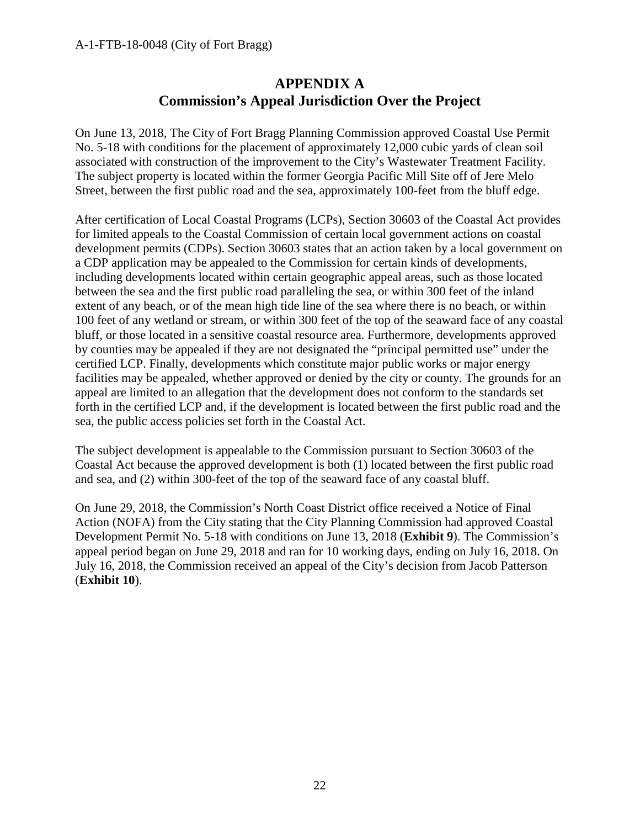# **APPENDIX A Commission's Appeal Jurisdiction Over the Project**

<span id="page-21-0"></span>On June 13, 2018, The City of Fort Bragg Planning Commission approved Coastal Use Permit No. 5-18 with conditions for the placement of approximately 12,000 cubic yards of clean soil associated with construction of the improvement to the City's Wastewater Treatment Facility. The subject property is located within the former Georgia Pacific Mill Site off of Jere Melo Street, between the first public road and the sea, approximately 100-feet from the bluff edge.

After certification of Local Coastal Programs (LCPs), Section 30603 of the Coastal Act provides for limited appeals to the Coastal Commission of certain local government actions on coastal development permits (CDPs). Section 30603 states that an action taken by a local government on a CDP application may be appealed to the Commission for certain kinds of developments, including developments located within certain geographic appeal areas, such as those located between the sea and the first public road paralleling the sea, or within 300 feet of the inland extent of any beach, or of the mean high tide line of the sea where there is no beach, or within 100 feet of any wetland or stream, or within 300 feet of the top of the seaward face of any coastal bluff, or those located in a sensitive coastal resource area. Furthermore, developments approved by counties may be appealed if they are not designated the "principal permitted use" under the certified LCP. Finally, developments which constitute major public works or major energy facilities may be appealed, whether approved or denied by the city or county. The grounds for an appeal are limited to an allegation that the development does not conform to the standards set forth in the certified LCP and, if the development is located between the first public road and the sea, the public access policies set forth in the Coastal Act.

The subject development is appealable to the Commission pursuant to Section 30603 of the Coastal Act because the approved development is both (1) located between the first public road and sea, and (2) within 300-feet of the top of the seaward face of any coastal bluff.

On June 29, 2018, the Commission's North Coast District office received a Notice of Final Action (NOFA) from the City stating that the City Planning Commission had approved Coastal Development Permit No. 5-18 with conditions on June 13, 2018 (**Exhibit 9**). The Commission's appeal period began on June 29, 2018 and ran for 10 working days, ending on July 16, 2018. On July 16, 2018, the Commission received an appeal of the City's decision from Jacob Patterson (**Exhibit 10**).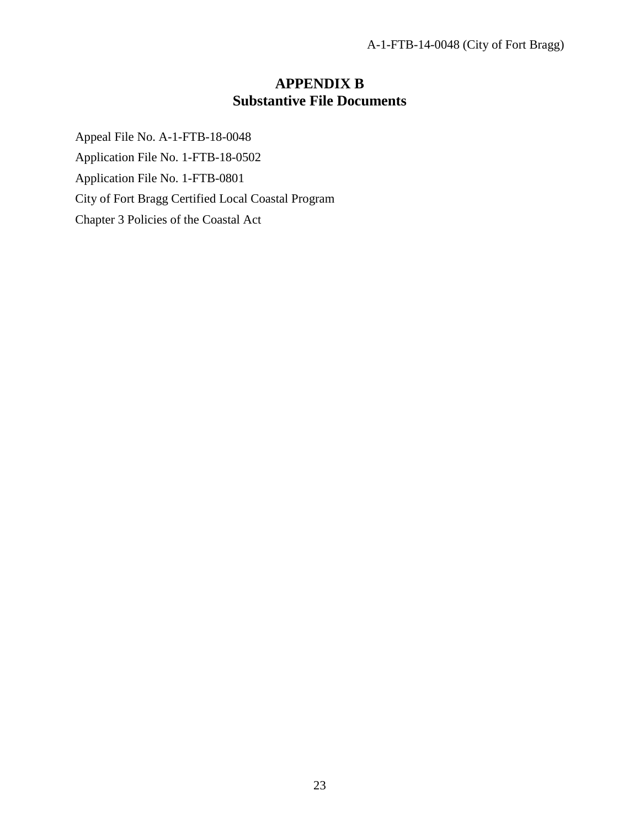# **APPENDIX B Substantive File Documents**

<span id="page-22-0"></span>Appeal File No. A-1-FTB-18-0048 Application File No. 1-FTB-18-0502 Application File No. 1-FTB-0801 City of Fort Bragg Certified Local Coastal Program Chapter 3 Policies of the Coastal Act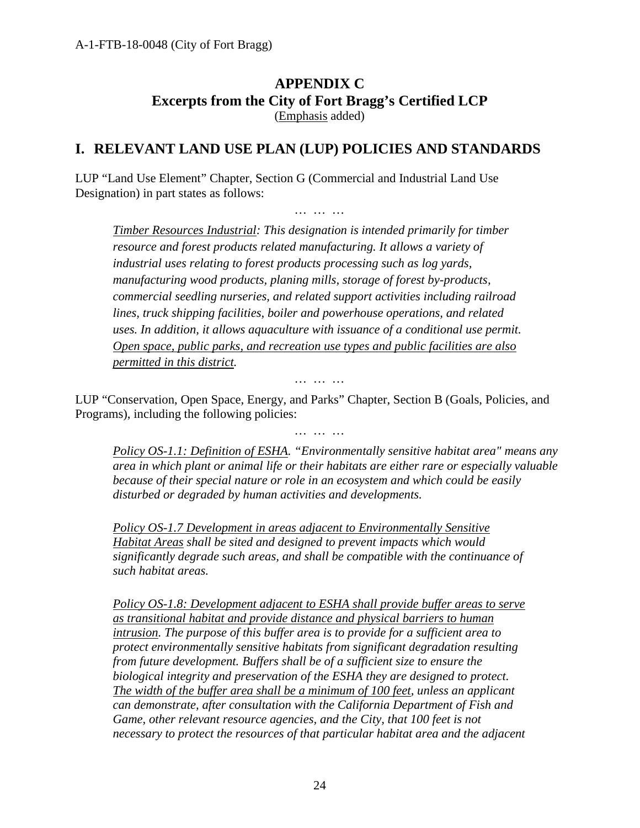# **APPENDIX C Excerpts from the City of Fort Bragg's Certified LCP** (Emphasis added)

# <span id="page-23-0"></span>**I. RELEVANT LAND USE PLAN (LUP) POLICIES AND STANDARDS**

LUP "Land Use Element" Chapter, Section G (Commercial and Industrial Land Use Designation) in part states as follows:

*… … …*

*Timber Resources Industrial: This designation is intended primarily for timber resource and forest products related manufacturing. It allows a variety of industrial uses relating to forest products processing such as log yards, manufacturing wood products, planing mills, storage of forest by-products, commercial seedling nurseries, and related support activities including railroad lines, truck shipping facilities, boiler and powerhouse operations, and related uses. In addition, it allows aquaculture with issuance of a conditional use permit. Open space, public parks, and recreation use types and public facilities are also permitted in this district.*

*… … …*

LUP "Conservation, Open Space, Energy, and Parks" Chapter, Section B (Goals, Policies, and Programs), including the following policies:

*… … …*

*Policy OS-1.1: Definition of ESHA. "Environmentally sensitive habitat area" means any area in which plant or animal life or their habitats are either rare or especially valuable because of their special nature or role in an ecosystem and which could be easily disturbed or degraded by human activities and developments.*

*Policy OS-1.7 Development in areas adjacent to Environmentally Sensitive Habitat Areas shall be sited and designed to prevent impacts which would significantly degrade such areas, and shall be compatible with the continuance of such habitat areas.*

*Policy OS-1.8: Development adjacent to ESHA shall provide buffer areas to serve as transitional habitat and provide distance and physical barriers to human intrusion. The purpose of this buffer area is to provide for a sufficient area to protect environmentally sensitive habitats from significant degradation resulting from future development. Buffers shall be of a sufficient size to ensure the biological integrity and preservation of the ESHA they are designed to protect. The width of the buffer area shall be a minimum of 100 feet, unless an applicant can demonstrate, after consultation with the California Department of Fish and Game, other relevant resource agencies, and the City, that 100 feet is not necessary to protect the resources of that particular habitat area and the adjacent*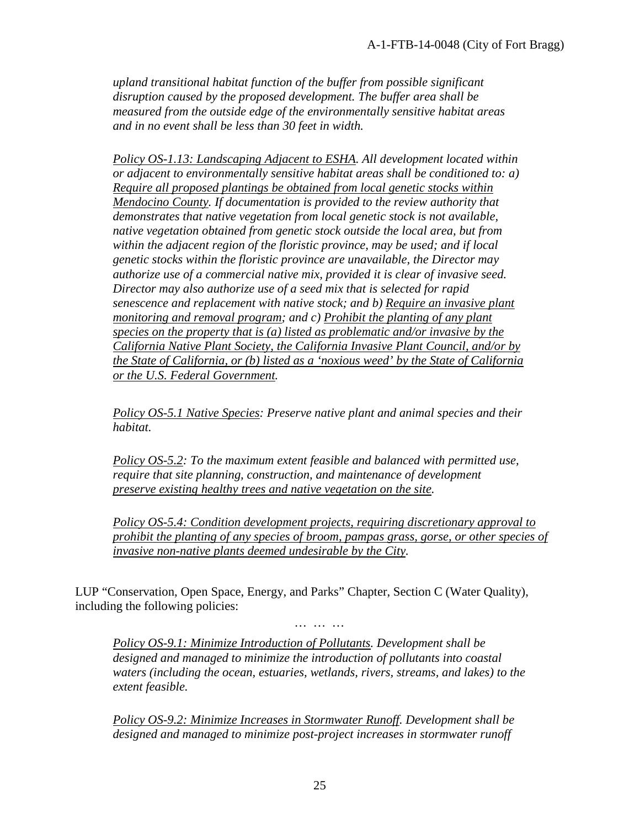*upland transitional habitat function of the buffer from possible significant disruption caused by the proposed development. The buffer area shall be measured from the outside edge of the environmentally sensitive habitat areas and in no event shall be less than 30 feet in width.*

*Policy OS-1.13: Landscaping Adjacent to ESHA. All development located within or adjacent to environmentally sensitive habitat areas shall be conditioned to: a) Require all proposed plantings be obtained from local genetic stocks within Mendocino County. If documentation is provided to the review authority that demonstrates that native vegetation from local genetic stock is not available, native vegetation obtained from genetic stock outside the local area, but from within the adjacent region of the floristic province, may be used; and if local genetic stocks within the floristic province are unavailable, the Director may authorize use of a commercial native mix, provided it is clear of invasive seed. Director may also authorize use of a seed mix that is selected for rapid senescence and replacement with native stock; and b) Require an invasive plant monitoring and removal program; and c) Prohibit the planting of any plant species on the property that is (a) listed as problematic and/or invasive by the California Native Plant Society, the California Invasive Plant Council, and/or by the State of California, or (b) listed as a 'noxious weed' by the State of California or the U.S. Federal Government.*

*Policy OS-5.1 Native Species: Preserve native plant and animal species and their habitat.* 

*Policy OS-5.2: To the maximum extent feasible and balanced with permitted use, require that site planning, construction, and maintenance of development preserve existing healthy trees and native vegetation on the site.*

*Policy OS-5.4: Condition development projects, requiring discretionary approval to prohibit the planting of any species of broom, pampas grass, gorse, or other species of invasive non-native plants deemed undesirable by the City.*

LUP "Conservation, Open Space, Energy, and Parks" Chapter, Section C (Water Quality), including the following policies:

*Policy OS-9.1: Minimize Introduction of Pollutants. Development shall be designed and managed to minimize the introduction of pollutants into coastal waters (including the ocean, estuaries, wetlands, rivers, streams, and lakes) to the extent feasible.* 

*… … …*

*Policy OS-9.2: Minimize Increases in Stormwater Runoff. Development shall be designed and managed to minimize post-project increases in stormwater runoff*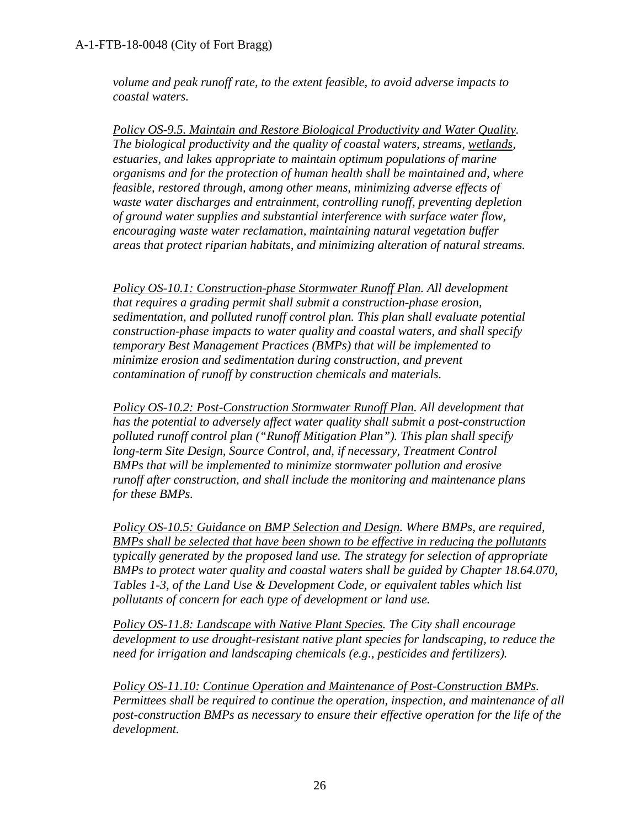*volume and peak runoff rate, to the extent feasible, to avoid adverse impacts to coastal waters.*

*Policy OS-9.5. Maintain and Restore Biological Productivity and Water Quality. The biological productivity and the quality of coastal waters, streams, wetlands, estuaries, and lakes appropriate to maintain optimum populations of marine organisms and for the protection of human health shall be maintained and, where feasible, restored through, among other means, minimizing adverse effects of waste water discharges and entrainment, controlling runoff, preventing depletion of ground water supplies and substantial interference with surface water flow, encouraging waste water reclamation, maintaining natural vegetation buffer areas that protect riparian habitats, and minimizing alteration of natural streams.*

*Policy OS-10.1: Construction-phase Stormwater Runoff Plan. All development that requires a grading permit shall submit a construction-phase erosion, sedimentation, and polluted runoff control plan. This plan shall evaluate potential construction-phase impacts to water quality and coastal waters, and shall specify temporary Best Management Practices (BMPs) that will be implemented to minimize erosion and sedimentation during construction, and prevent contamination of runoff by construction chemicals and materials.*

*Policy OS-10.2: Post-Construction Stormwater Runoff Plan. All development that has the potential to adversely affect water quality shall submit a post-construction polluted runoff control plan ("Runoff Mitigation Plan"). This plan shall specify long-term Site Design, Source Control, and, if necessary, Treatment Control BMPs that will be implemented to minimize stormwater pollution and erosive runoff after construction, and shall include the monitoring and maintenance plans for these BMPs.* 

*Policy OS-10.5: Guidance on BMP Selection and Design. Where BMPs, are required, BMPs shall be selected that have been shown to be effective in reducing the pollutants typically generated by the proposed land use. The strategy for selection of appropriate BMPs to protect water quality and coastal waters shall be guided by Chapter 18.64.070, Tables 1-3, of the Land Use & Development Code, or equivalent tables which list pollutants of concern for each type of development or land use.*

*Policy OS-11.8: Landscape with Native Plant Species. The City shall encourage development to use drought-resistant native plant species for landscaping, to reduce the need for irrigation and landscaping chemicals (e.g., pesticides and fertilizers).*

*Policy OS-11.10: Continue Operation and Maintenance of Post-Construction BMPs. Permittees shall be required to continue the operation, inspection, and maintenance of all post-construction BMPs as necessary to ensure their effective operation for the life of the development.*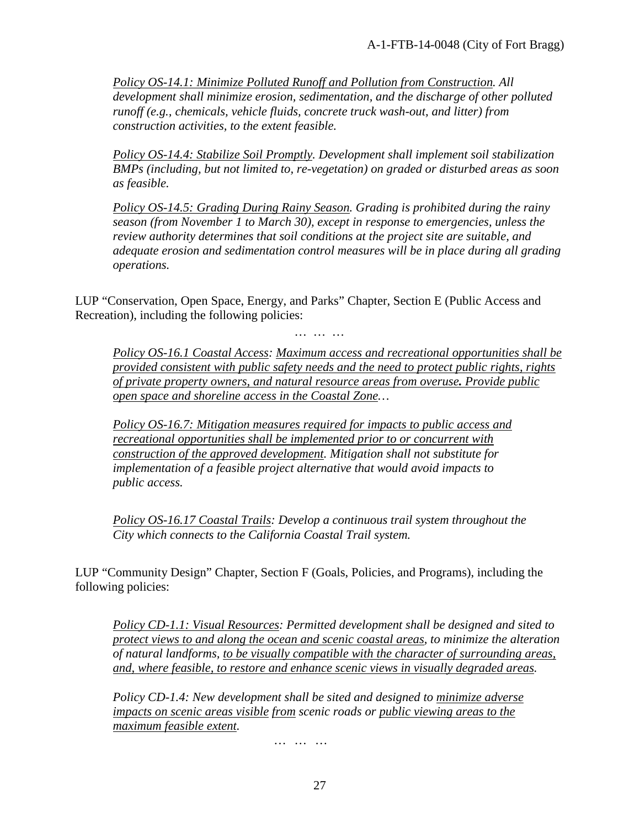*Policy OS-14.1: Minimize Polluted Runoff and Pollution from Construction. All development shall minimize erosion, sedimentation, and the discharge of other polluted runoff (e.g., chemicals, vehicle fluids, concrete truck wash-out, and litter) from construction activities, to the extent feasible.*

*Policy OS-14.4: Stabilize Soil Promptly. Development shall implement soil stabilization BMPs (including, but not limited to, re-vegetation) on graded or disturbed areas as soon as feasible.*

*Policy OS-14.5: Grading During Rainy Season. Grading is prohibited during the rainy season (from November 1 to March 30), except in response to emergencies, unless the review authority determines that soil conditions at the project site are suitable, and adequate erosion and sedimentation control measures will be in place during all grading operations.*

LUP "Conservation, Open Space, Energy, and Parks" Chapter, Section E (Public Access and Recreation), including the following policies:

*… … …*

*Policy OS-16.1 Coastal Access: Maximum access and recreational opportunities shall be provided consistent with public safety needs and the need to protect public rights, rights of private property owners, and natural resource areas from overuse. Provide public open space and shoreline access in the Coastal Zone…*

*Policy OS-16.7: Mitigation measures required for impacts to public access and recreational opportunities shall be implemented prior to or concurrent with construction of the approved development. Mitigation shall not substitute for implementation of a feasible project alternative that would avoid impacts to public access.*

*Policy OS-16.17 Coastal Trails: Develop a continuous trail system throughout the City which connects to the California Coastal Trail system.*

LUP "Community Design" Chapter, Section F (Goals, Policies, and Programs), including the following policies:

*Policy CD-1.1: Visual Resources: Permitted development shall be designed and sited to protect views to and along the ocean and scenic coastal areas, to minimize the alteration of natural landforms, to be visually compatible with the character of surrounding areas, and, where feasible, to restore and enhance scenic views in visually degraded areas.*

*Policy CD-1.4: New development shall be sited and designed to minimize adverse impacts on scenic areas visible from scenic roads or public viewing areas to the maximum feasible extent.*

*… … …*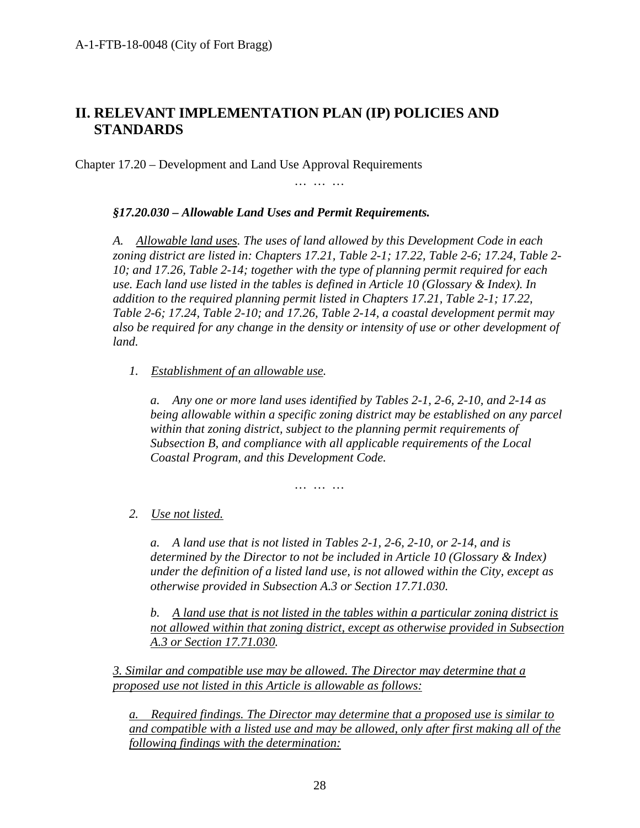# **II. RELEVANT IMPLEMENTATION PLAN (IP) POLICIES AND STANDARDS**

Chapter 17.20 – Development and Land Use Approval Requirements

*… … …*

#### *§17.20.030 – Allowable Land Uses and Permit Requirements.*

*A. Allowable land uses. The uses of land allowed by this Development Code in each zoning district are listed in: Chapters 17.21, Table 2-1; 17.22, Table 2-6; 17.24, Table 2- 10; and 17.26, Table 2-14; together with the type of planning permit required for each use. Each land use listed in the tables is defined in Article 10 (Glossary & Index). In addition to the required planning permit listed in Chapters 17.21, Table 2-1; 17.22, Table 2-6; 17.24, Table 2-10; and 17.26, Table 2-14, a coastal development permit may also be required for any change in the density or intensity of use or other development of land.*

*1. Establishment of an allowable use.*

*a. Any one or more land uses identified by Tables 2-1, 2-6, 2-10, and 2-14 as being allowable within a specific zoning district may be established on any parcel within that zoning district, subject to the planning permit requirements of Subsection B, and compliance with all applicable requirements of the Local Coastal Program, and this Development Code.*

*… … …*

#### *2. Use not listed.*

*a. A land use that is not listed in Tables 2-1, 2-6, 2-10, or 2-14, and is determined by the Director to not be included in Article 10 (Glossary & Index) under the definition of a listed land use, is not allowed within the City, except as otherwise provided in Subsection A.3 or Section 17.71.030.*

*b. A land use that is not listed in the tables within a particular zoning district is not allowed within that zoning district, except as otherwise provided in Subsection A.3 or Section 17.71.030.*

*3. Similar and compatible use may be allowed. The Director may determine that a proposed use not listed in this Article is allowable as follows:*

*a. Required findings. The Director may determine that a proposed use is similar to and compatible with a listed use and may be allowed, only after first making all of the following findings with the determination:*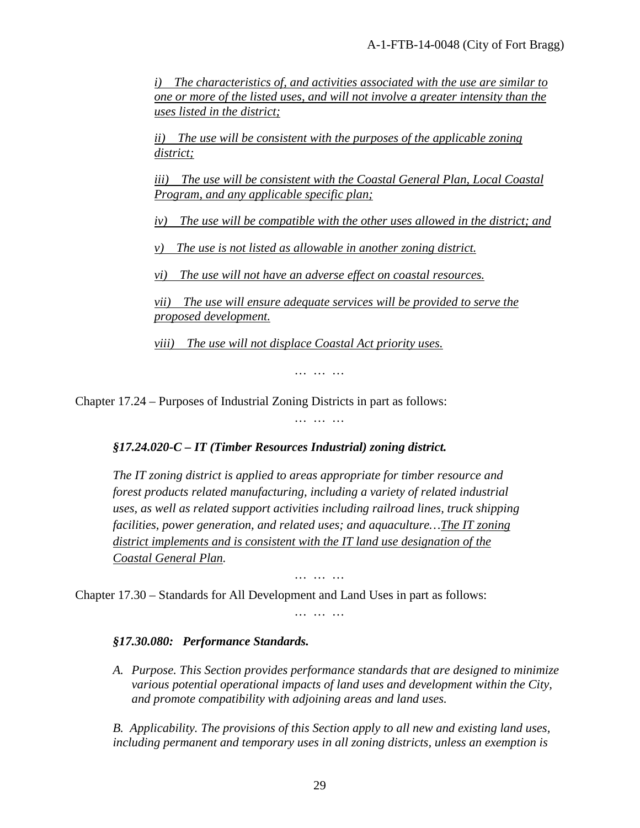*i) The characteristics of, and activities associated with the use are similar to one or more of the listed uses, and will not involve a greater intensity than the uses listed in the district;*

*ii) The use will be consistent with the purposes of the applicable zoning district;*

*iii) The use will be consistent with the Coastal General Plan, Local Coastal Program, and any applicable specific plan;*

*iv) The use will be compatible with the other uses allowed in the district; and*

*v) The use is not listed as allowable in another zoning district.*

*vi) The use will not have an adverse effect on coastal resources.*

*vii) The use will ensure adequate services will be provided to serve the proposed development.*

*viii) The use will not displace Coastal Act priority uses.*

*… … …*

*… … …*

Chapter 17.24 – Purposes of Industrial Zoning Districts in part as follows:

*§17.24.020-C – IT (Timber Resources Industrial) zoning district.* 

*The IT zoning district is applied to areas appropriate for timber resource and forest products related manufacturing, including a variety of related industrial uses, as well as related support activities including railroad lines, truck shipping facilities, power generation, and related uses; and aquaculture…The IT zoning district implements and is consistent with the IT land use designation of the Coastal General Plan.* 

*… … …*

Chapter 17.30 – Standards for All Development and Land Uses in part as follows:

*… … …*

#### *§17.30.080: Performance Standards.*

*A. Purpose. This Section provides performance standards that are designed to minimize various potential operational impacts of land uses and development within the City, and promote compatibility with adjoining areas and land uses.* 

*B. Applicability. The provisions of this Section apply to all new and existing land uses, including permanent and temporary uses in all zoning districts, unless an exemption is*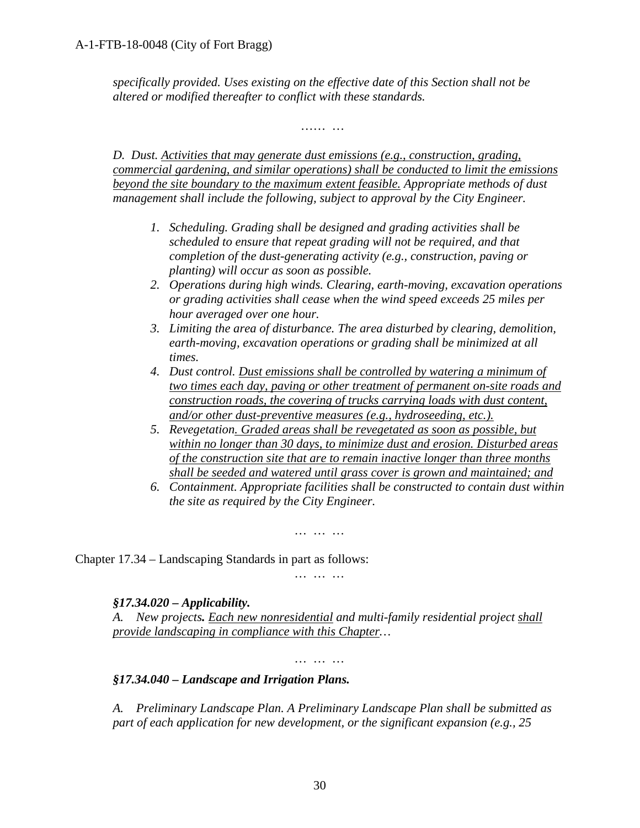*specifically provided. Uses existing on the effective date of this Section shall not be altered or modified thereafter to conflict with these standards.* 

*…… …*

*D. Dust. Activities that may generate dust emissions (e.g., construction, grading, commercial gardening, and similar operations) shall be conducted to limit the emissions beyond the site boundary to the maximum extent feasible. Appropriate methods of dust management shall include the following, subject to approval by the City Engineer.* 

- *1. Scheduling. Grading shall be designed and grading activities shall be scheduled to ensure that repeat grading will not be required, and that completion of the dust-generating activity (e.g., construction, paving or planting) will occur as soon as possible.*
- *2. Operations during high winds. Clearing, earth-moving, excavation operations or grading activities shall cease when the wind speed exceeds 25 miles per hour averaged over one hour.*
- *3. Limiting the area of disturbance. The area disturbed by clearing, demolition, earth-moving, excavation operations or grading shall be minimized at all times.*
- *4. Dust control. Dust emissions shall be controlled by watering a minimum of two times each day, paving or other treatment of permanent on-site roads and construction roads, the covering of trucks carrying loads with dust content, and/or other dust-preventive measures (e.g., hydroseeding, etc.).*
- *5. Revegetation. Graded areas shall be revegetated as soon as possible, but within no longer than 30 days, to minimize dust and erosion. Disturbed areas of the construction site that are to remain inactive longer than three months shall be seeded and watered until grass cover is grown and maintained; and*
- *6. Containment. Appropriate facilities shall be constructed to contain dust within the site as required by the City Engineer.*

Chapter 17.34 – Landscaping Standards in part as follows:

#### *§17.34.020 – Applicability.*

*A. New projects. Each new nonresidential and multi-family residential project shall provide landscaping in compliance with this Chapter…*

*… … …*

*… … …*

*… … …*

#### *§17.34.040 – Landscape and Irrigation Plans.*

*A. Preliminary Landscape Plan. A Preliminary Landscape Plan shall be submitted as part of each application for new development, or the significant expansion (e.g., 25*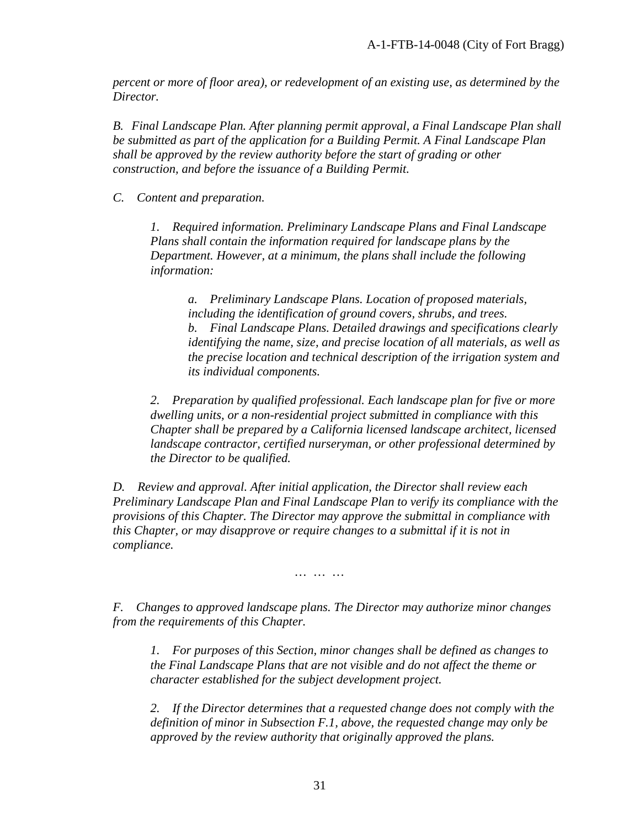*percent or more of floor area), or redevelopment of an existing use, as determined by the Director.*

*B. Final Landscape Plan. After planning permit approval, a Final Landscape Plan shall be submitted as part of the application for a Building Permit. A Final Landscape Plan shall be approved by the review authority before the start of grading or other construction, and before the issuance of a Building Permit.*

*C. Content and preparation.*

*1. Required information. Preliminary Landscape Plans and Final Landscape Plans shall contain the information required for landscape plans by the Department. However, at a minimum, the plans shall include the following information:*

*a. Preliminary Landscape Plans. Location of proposed materials, including the identification of ground covers, shrubs, and trees. b. Final Landscape Plans. Detailed drawings and specifications clearly identifying the name, size, and precise location of all materials, as well as the precise location and technical description of the irrigation system and its individual components.*

*2. Preparation by qualified professional. Each landscape plan for five or more dwelling units, or a non-residential project submitted in compliance with this Chapter shall be prepared by a California licensed landscape architect, licensed landscape contractor, certified nurseryman, or other professional determined by the Director to be qualified.*

*D. Review and approval. After initial application, the Director shall review each Preliminary Landscape Plan and Final Landscape Plan to verify its compliance with the provisions of this Chapter. The Director may approve the submittal in compliance with this Chapter, or may disapprove or require changes to a submittal if it is not in compliance.*

*… … …*

*F. Changes to approved landscape plans. The Director may authorize minor changes from the requirements of this Chapter.*

*1. For purposes of this Section, minor changes shall be defined as changes to the Final Landscape Plans that are not visible and do not affect the theme or character established for the subject development project.*

*2. If the Director determines that a requested change does not comply with the definition of minor in Subsection F.1, above, the requested change may only be approved by the review authority that originally approved the plans.*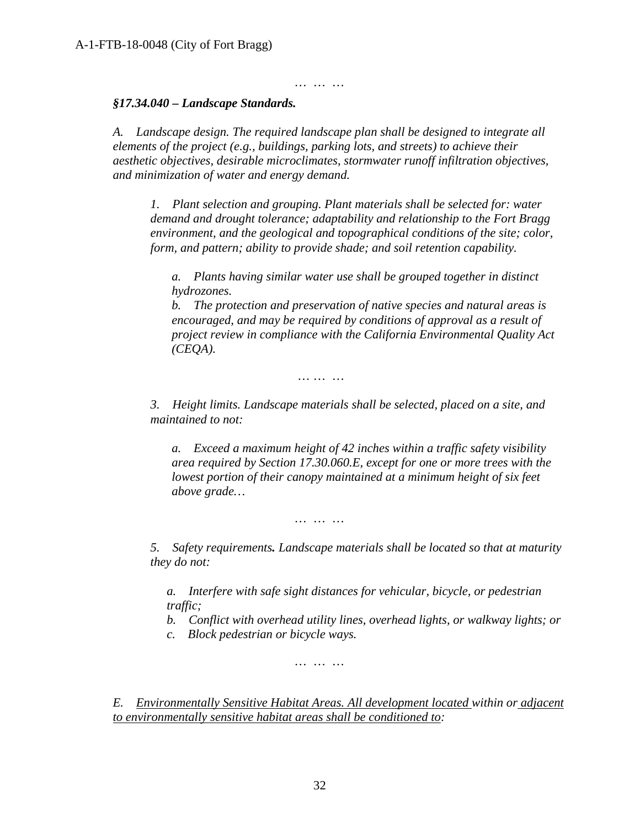*… … …*

#### *§17.34.040 – Landscape Standards.*

*A. Landscape design. The required landscape plan shall be designed to integrate all elements of the project (e.g., buildings, parking lots, and streets) to achieve their aesthetic objectives, desirable microclimates, stormwater runoff infiltration objectives, and minimization of water and energy demand.*

*1. Plant selection and grouping. Plant materials shall be selected for: water demand and drought tolerance; adaptability and relationship to the Fort Bragg environment, and the geological and topographical conditions of the site; color, form, and pattern; ability to provide shade; and soil retention capability.*

*a. Plants having similar water use shall be grouped together in distinct hydrozones.*

*b. The protection and preservation of native species and natural areas is encouraged, and may be required by conditions of approval as a result of project review in compliance with the California Environmental Quality Act (CEQA).*

*… … …*

*3. Height limits. Landscape materials shall be selected, placed on a site, and maintained to not:*

*a. Exceed a maximum height of 42 inches within a traffic safety visibility area required by Section 17.30.060.E, except for one or more trees with the lowest portion of their canopy maintained at a minimum height of six feet above grade…* 

*… … …*

*5. Safety requirements. Landscape materials shall be located so that at maturity they do not:*

*a. Interfere with safe sight distances for vehicular, bicycle, or pedestrian traffic;*

*b. Conflict with overhead utility lines, overhead lights, or walkway lights; or*

*c. Block pedestrian or bicycle ways.*

*… … …*

*E. Environmentally Sensitive Habitat Areas. All development located within or adjacent to environmentally sensitive habitat areas shall be conditioned to:*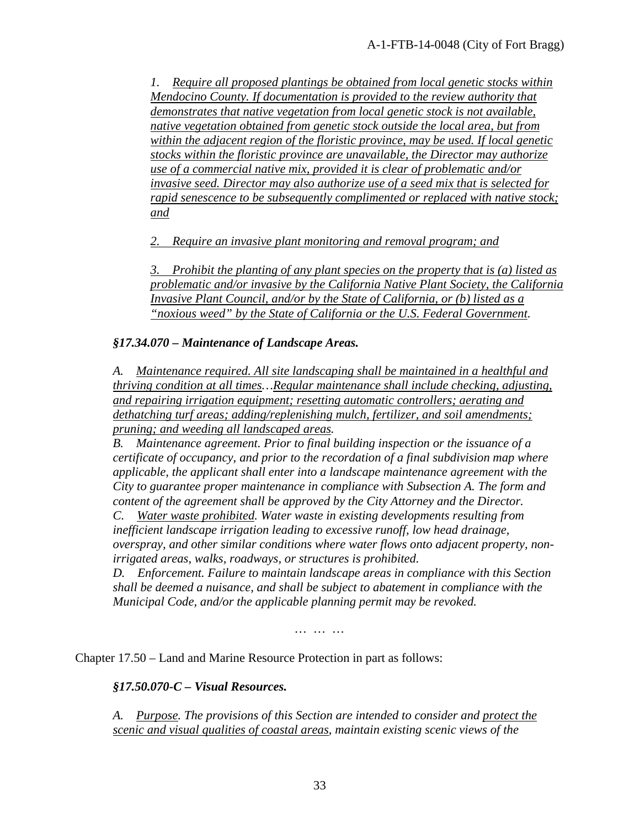*1. Require all proposed plantings be obtained from local genetic stocks within Mendocino County. If documentation is provided to the review authority that demonstrates that native vegetation from local genetic stock is not available, native vegetation obtained from genetic stock outside the local area, but from within the adjacent region of the floristic province, may be used. If local genetic stocks within the floristic province are unavailable, the Director may authorize use of a commercial native mix, provided it is clear of problematic and/or invasive seed. Director may also authorize use of a seed mix that is selected for rapid senescence to be subsequently complimented or replaced with native stock; and*

*2. Require an invasive plant monitoring and removal program; and*

*3. Prohibit the planting of any plant species on the property that is (a) listed as problematic and/or invasive by the California Native Plant Society, the California Invasive Plant Council, and/or by the State of California, or (b) listed as a "noxious weed" by the State of California or the U.S. Federal Government.*

#### *§17.34.070 – Maintenance of Landscape Areas.*

*A. Maintenance required. All site landscaping shall be maintained in a healthful and thriving condition at all times…Regular maintenance shall include checking, adjusting, and repairing irrigation equipment; resetting automatic controllers; aerating and dethatching turf areas; adding/replenishing mulch, fertilizer, and soil amendments; pruning; and weeding all landscaped areas.*

*B. Maintenance agreement. Prior to final building inspection or the issuance of a certificate of occupancy, and prior to the recordation of a final subdivision map where applicable, the applicant shall enter into a landscape maintenance agreement with the City to guarantee proper maintenance in compliance with Subsection A. The form and content of the agreement shall be approved by the City Attorney and the Director.*

*C. Water waste prohibited. Water waste in existing developments resulting from inefficient landscape irrigation leading to excessive runoff, low head drainage, overspray, and other similar conditions where water flows onto adjacent property, nonirrigated areas, walks, roadways, or structures is prohibited.*

*D. Enforcement. Failure to maintain landscape areas in compliance with this Section shall be deemed a nuisance, and shall be subject to abatement in compliance with the Municipal Code, and/or the applicable planning permit may be revoked.*

*… … …*

Chapter 17.50 – Land and Marine Resource Protection in part as follows:

*§17.50.070-C – Visual Resources.* 

*A. Purpose. The provisions of this Section are intended to consider and protect the scenic and visual qualities of coastal areas, maintain existing scenic views of the*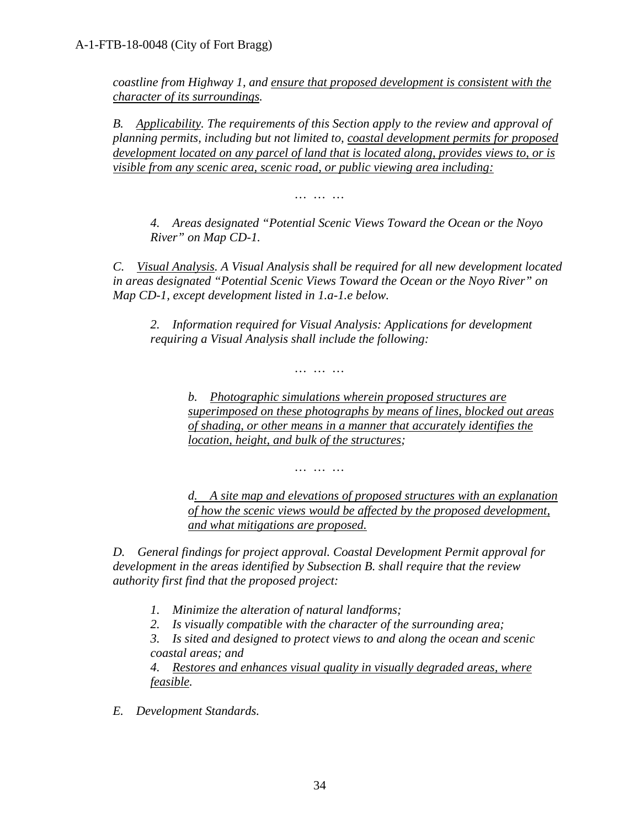*coastline from Highway 1, and ensure that proposed development is consistent with the character of its surroundings.*

*B. Applicability. The requirements of this Section apply to the review and approval of planning permits, including but not limited to, coastal development permits for proposed development located on any parcel of land that is located along, provides views to, or is visible from any scenic area, scenic road, or public viewing area including:*

*… … …*

*4. Areas designated "Potential Scenic Views Toward the Ocean or the Noyo River" on Map CD-1.*

*C. Visual Analysis. A Visual Analysis shall be required for all new development located in areas designated "Potential Scenic Views Toward the Ocean or the Noyo River" on Map CD-1, except development listed in 1.a-1.e below.*

*2. Information required for Visual Analysis: Applications for development requiring a Visual Analysis shall include the following:*

*b. Photographic simulations wherein proposed structures are superimposed on these photographs by means of lines, blocked out areas of shading, or other means in a manner that accurately identifies the location, height, and bulk of the structures;*

*… … …*

*… … …*

*d. A site map and elevations of proposed structures with an explanation of how the scenic views would be affected by the proposed development, and what mitigations are proposed.*

*D. General findings for project approval. Coastal Development Permit approval for development in the areas identified by Subsection B. shall require that the review authority first find that the proposed project:*

- *1. Minimize the alteration of natural landforms;*
- *2. Is visually compatible with the character of the surrounding area;*

*3. Is sited and designed to protect views to and along the ocean and scenic coastal areas; and*

*4. Restores and enhances visual quality in visually degraded areas, where feasible.*

*E. Development Standards.*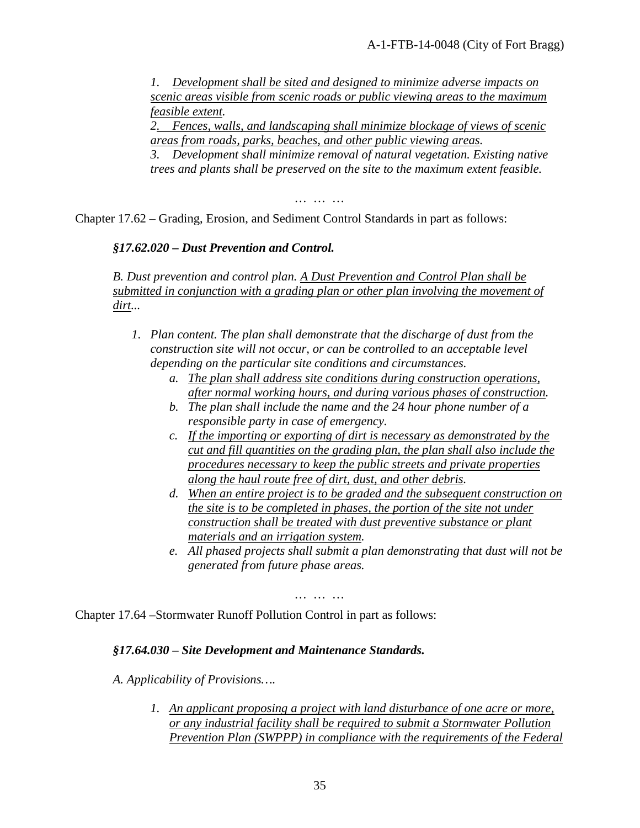*1. Development shall be sited and designed to minimize adverse impacts on scenic areas visible from scenic roads or public viewing areas to the maximum feasible extent.*

*2. Fences, walls, and landscaping shall minimize blockage of views of scenic areas from roads, parks, beaches, and other public viewing areas.*

*3. Development shall minimize removal of natural vegetation. Existing native trees and plants shall be preserved on the site to the maximum extent feasible.*

*… … …*

Chapter 17.62 – Grading, Erosion, and Sediment Control Standards in part as follows:

#### *§17.62.020 – Dust Prevention and Control.*

*B. Dust prevention and control plan. A Dust Prevention and Control Plan shall be submitted in conjunction with a grading plan or other plan involving the movement of dirt...* 

- *1. Plan content. The plan shall demonstrate that the discharge of dust from the construction site will not occur, or can be controlled to an acceptable level depending on the particular site conditions and circumstances.* 
	- *a. The plan shall address site conditions during construction operations, after normal working hours, and during various phases of construction.*
	- *b. The plan shall include the name and the 24 hour phone number of a responsible party in case of emergency.*
	- *c. If the importing or exporting of dirt is necessary as demonstrated by the cut and fill quantities on the grading plan, the plan shall also include the procedures necessary to keep the public streets and private properties along the haul route free of dirt, dust, and other debris.*
	- *d. When an entire project is to be graded and the subsequent construction on the site is to be completed in phases, the portion of the site not under construction shall be treated with dust preventive substance or plant materials and an irrigation system.*
	- *e. All phased projects shall submit a plan demonstrating that dust will not be generated from future phase areas.*

*… … …*

Chapter 17.64 –Stormwater Runoff Pollution Control in part as follows:

#### *§17.64.030 – Site Development and Maintenance Standards.*

*A. Applicability of Provisions….* 

*1. An applicant proposing a project with land disturbance of one acre or more, or any industrial facility shall be required to submit a Stormwater Pollution Prevention Plan (SWPPP) in compliance with the requirements of the Federal*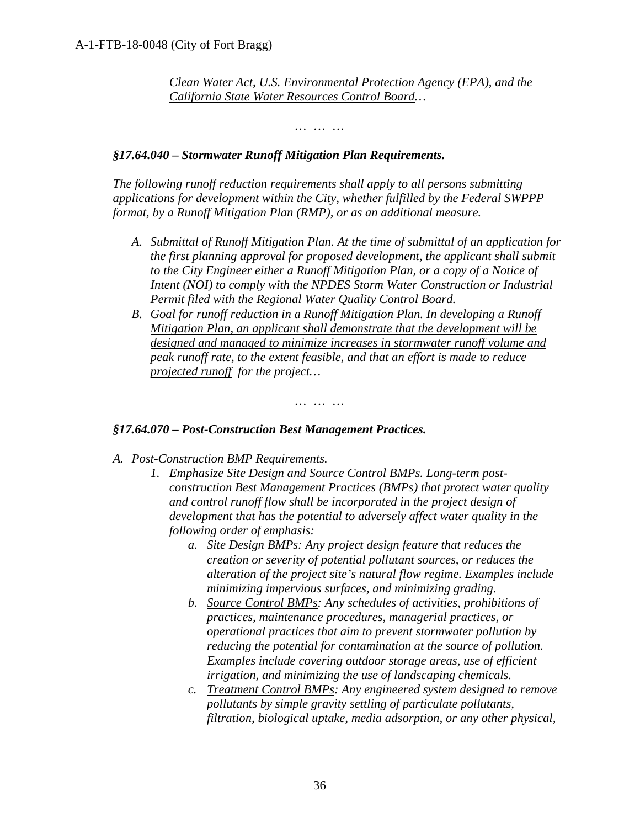*Clean Water Act, U.S. Environmental Protection Agency (EPA), and the California State Water Resources Control Board…*

*… … …*

#### *§17.64.040 – Stormwater Runoff Mitigation Plan Requirements.*

*The following runoff reduction requirements shall apply to all persons submitting applications for development within the City, whether fulfilled by the Federal SWPPP format, by a Runoff Mitigation Plan (RMP), or as an additional measure.*

- *A. Submittal of Runoff Mitigation Plan. At the time of submittal of an application for the first planning approval for proposed development, the applicant shall submit to the City Engineer either a Runoff Mitigation Plan, or a copy of a Notice of Intent (NOI) to comply with the NPDES Storm Water Construction or Industrial Permit filed with the Regional Water Quality Control Board.*
- **B.** *Goal for runoff reduction in a Runoff Mitigation Plan. In developing a Runoff Mitigation Plan, an applicant shall demonstrate that the development will be designed and managed to minimize increases in stormwater runoff volume and peak runoff rate, to the extent feasible, and that an effort is made to reduce projected runoff for the project…*

*… … …*

#### *§17.64.070 – Post-Construction Best Management Practices.*

- *A. Post-Construction BMP Requirements.*
	- *1. Emphasize Site Design and Source Control BMPs. Long-term postconstruction Best Management Practices (BMPs) that protect water quality and control runoff flow shall be incorporated in the project design of development that has the potential to adversely affect water quality in the following order of emphasis:* 
		- *a. Site Design BMPs: Any project design feature that reduces the creation or severity of potential pollutant sources, or reduces the alteration of the project site's natural flow regime. Examples include minimizing impervious surfaces, and minimizing grading.*
		- *b. Source Control BMPs: Any schedules of activities, prohibitions of practices, maintenance procedures, managerial practices, or operational practices that aim to prevent stormwater pollution by reducing the potential for contamination at the source of pollution. Examples include covering outdoor storage areas, use of efficient irrigation, and minimizing the use of landscaping chemicals.*
		- *c. Treatment Control BMPs: Any engineered system designed to remove pollutants by simple gravity settling of particulate pollutants, filtration, biological uptake, media adsorption, or any other physical,*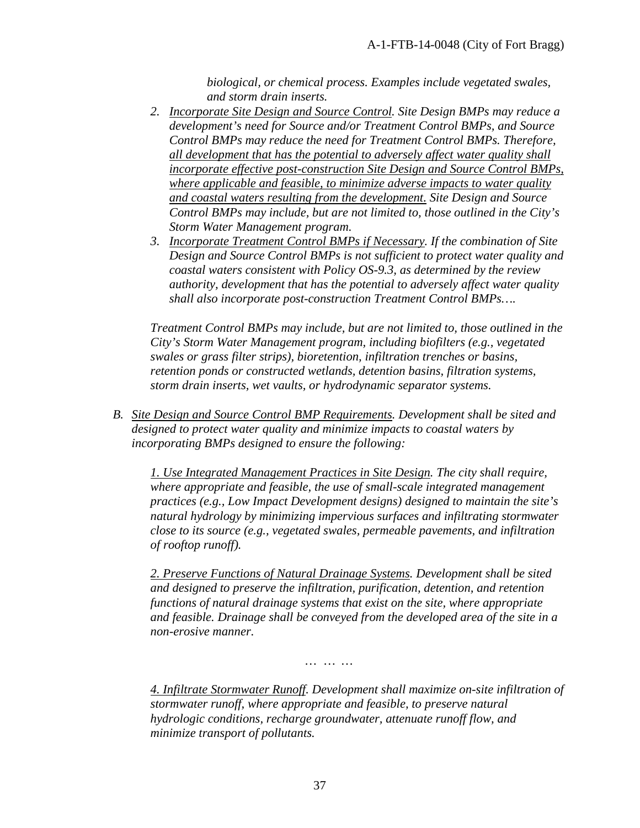*biological, or chemical process. Examples include vegetated swales, and storm drain inserts.*

- *2. Incorporate Site Design and Source Control. Site Design BMPs may reduce a development's need for Source and/or Treatment Control BMPs, and Source Control BMPs may reduce the need for Treatment Control BMPs. Therefore, all development that has the potential to adversely affect water quality shall incorporate effective post-construction Site Design and Source Control BMPs, where applicable and feasible, to minimize adverse impacts to water quality and coastal waters resulting from the development. Site Design and Source Control BMPs may include, but are not limited to, those outlined in the City's Storm Water Management program.*
- *3. Incorporate Treatment Control BMPs if Necessary. If the combination of Site Design and Source Control BMPs is not sufficient to protect water quality and coastal waters consistent with Policy OS-9.3, as determined by the review authority, development that has the potential to adversely affect water quality shall also incorporate post-construction Treatment Control BMPs….*

*Treatment Control BMPs may include, but are not limited to, those outlined in the City's Storm Water Management program, including biofilters (e.g., vegetated swales or grass filter strips), bioretention, infiltration trenches or basins, retention ponds or constructed wetlands, detention basins, filtration systems, storm drain inserts, wet vaults, or hydrodynamic separator systems.* 

*B. Site Design and Source Control BMP Requirements. Development shall be sited and designed to protect water quality and minimize impacts to coastal waters by incorporating BMPs designed to ensure the following:* 

*1. Use Integrated Management Practices in Site Design. The city shall require, where appropriate and feasible, the use of small-scale integrated management practices (e.g., Low Impact Development designs) designed to maintain the site's natural hydrology by minimizing impervious surfaces and infiltrating stormwater close to its source (e.g., vegetated swales, permeable pavements, and infiltration of rooftop runoff).* 

*2. Preserve Functions of Natural Drainage Systems. Development shall be sited and designed to preserve the infiltration, purification, detention, and retention functions of natural drainage systems that exist on the site, where appropriate and feasible. Drainage shall be conveyed from the developed area of the site in a non-erosive manner.* 

*… … …*

*4. Infiltrate Stormwater Runoff. Development shall maximize on-site infiltration of stormwater runoff, where appropriate and feasible, to preserve natural hydrologic conditions, recharge groundwater, attenuate runoff flow, and minimize transport of pollutants.*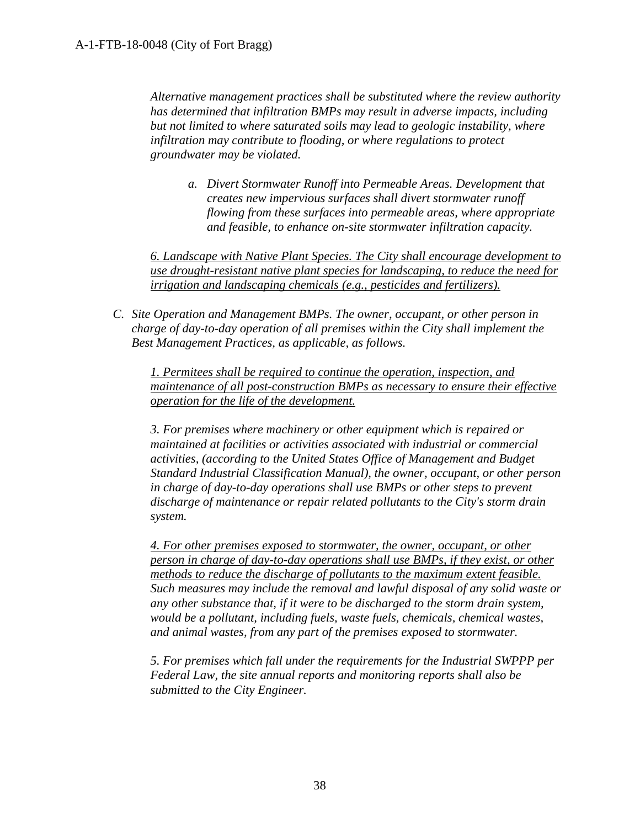*Alternative management practices shall be substituted where the review authority has determined that infiltration BMPs may result in adverse impacts, including but not limited to where saturated soils may lead to geologic instability, where infiltration may contribute to flooding, or where regulations to protect groundwater may be violated.*

*a. Divert Stormwater Runoff into Permeable Areas. Development that creates new impervious surfaces shall divert stormwater runoff flowing from these surfaces into permeable areas, where appropriate and feasible, to enhance on-site stormwater infiltration capacity.* 

*6. Landscape with Native Plant Species. The City shall encourage development to use drought-resistant native plant species for landscaping, to reduce the need for irrigation and landscaping chemicals (e.g., pesticides and fertilizers).* 

*C. Site Operation and Management BMPs. The owner, occupant, or other person in charge of day-to-day operation of all premises within the City shall implement the Best Management Practices, as applicable, as follows.* 

*1. Permitees shall be required to continue the operation, inspection, and maintenance of all post-construction BMPs as necessary to ensure their effective operation for the life of the development.* 

*3. For premises where machinery or other equipment which is repaired or maintained at facilities or activities associated with industrial or commercial activities, (according to the United States Office of Management and Budget Standard Industrial Classification Manual), the owner, occupant, or other person in charge of day-to-day operations shall use BMPs or other steps to prevent discharge of maintenance or repair related pollutants to the City's storm drain system.* 

*4. For other premises exposed to stormwater, the owner, occupant, or other person in charge of day-to-day operations shall use BMPs, if they exist, or other methods to reduce the discharge of pollutants to the maximum extent feasible. Such measures may include the removal and lawful disposal of any solid waste or any other substance that, if it were to be discharged to the storm drain system, would be a pollutant, including fuels, waste fuels, chemicals, chemical wastes, and animal wastes, from any part of the premises exposed to stormwater.* 

*5. For premises which fall under the requirements for the Industrial SWPPP per Federal Law, the site annual reports and monitoring reports shall also be submitted to the City Engineer.*